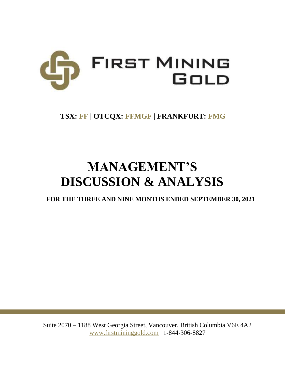

# **TSX: FF | OTCQX: FFMGF | FRANKFURT: FMG**

# **MANAGEMENT'S DISCUSSION & ANALYSIS**

**FOR THE THREE AND NINE MONTHS ENDED SEPTEMBER 30, 2021**

Suite 2070 – 1188 West Georgia Street, Vancouver, British Columbia V6E 4A2 www.firstmininggold.com | 1-844-306-8827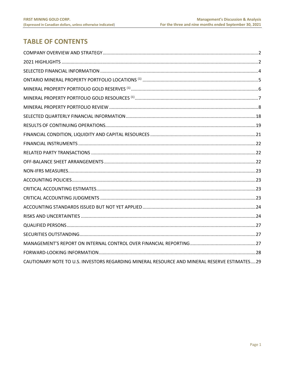# **TABLE OF CONTENTS**

| CAUTIONARY NOTE TO U.S. INVESTORS REGARDING MINERAL RESOURCE AND MINERAL RESERVE ESTIMATES29 |  |
|----------------------------------------------------------------------------------------------|--|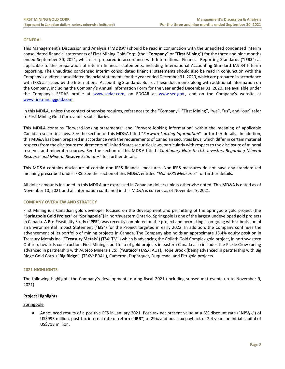#### **GENERAL**

This Management's Discussion and Analysis ("**MD&A**") should be read in conjunction with the unaudited condensed interim consolidated financial statements of First Mining Gold Corp. (the "**Company**" or "**First Mining**") for the three and nine months ended September 30, 2021, which are prepared in accordance with International Financial Reporting Standards ("**IFRS**") as applicable to the preparation of interim financial statements, including International Accounting Standard IAS 34 Interim Reporting. The unaudited condensed interim consolidated financial statements should also be read in conjunction with the Company's audited consolidated financial statements for the year ended December 31, 2020, which are prepared in accordance with IFRS as issued by the International Accounting Standards Board. These documents along with additional information on the Company, including the Company's Annual Information Form for the year ended December 31, 2020, are available under the Company's SEDAR profile at [www.sedar.com,](http://www.sedar.com/) on EDGAR at [www.sec.gov.](http://www.sec.gov/), and on the Company's website at [www.firstmininggold.com.](http://www.firstmininggold.com/)

In this MD&A, unless the context otherwise requires, references to the "Company", "First Mining", "we", "us", and "our" refer to First Mining Gold Corp. and its subsidiaries.

This MD&A contains "forward-looking statements" and "forward-looking information" within the meaning of applicable Canadian securities laws. See the section of this MD&A titled "*Forward-Looking Information*" for further details. In addition, this MD&A has been prepared in accordance with the requirements of Canadian securities laws, which differ in certain material respects from the disclosure requirements of United States securities laws, particularly with respect to the disclosure of mineral reserves and mineral resources. See the section of this MD&A titled "*Cautionary Note to U.S. Investors Regarding Mineral Resource and Mineral Reserve Estimates*" for further details.

This MD&A contains disclosure of certain non-IFRS financial measures. Non-IFRS measures do not have any standardized meaning prescribed under IFRS. See the section of this MD&A entitled "*Non-IFRS Measures*" for further details.

All dollar amounts included in this MD&A are expressed in Canadian dollars unless otherwise noted. This MD&A is dated as of November 10, 2021 and all information contained in this MD&A is current as of November 9, 2021.

# <span id="page-2-0"></span>**COMPANY OVERVIEW AND STRATEGY**

First Mining is a Canadian gold developer focused on the development and permitting of the Springpole gold project (the "**Springpole Gold Project**" or "**Springpole**") in northwestern Ontario. [Springpole](https://www.firstmininggold.com/projects/ontario/springpole-project/) is one of the largest undeveloped gold projects in Canada. A Pre-Feasibility Study ("**PFS**") was recently completed on the project and permitting is on-going with submission of an Environmental Impact Statement ("**EIS**") for the Project targeted in early 2022. In addition, the Company continues the advancement of its portfolio of mining projects in Canada. The Company also holds an approximate 15.4% equity position in Treasury Metals Inc. ("**Treasury Metals**") (TSX: TML) which is advancing the Goliath Gold Complex gold project, in northwestern Ontario, towards construction. First Mining's portfolio of gold projects in eastern Canada also includes the Pickle Crow (being [advanced in partnership with Auteco Minerals](https://can01.safelinks.protection.outlook.com/?url=https%3A%2F%2Fwww.firstmininggold.com%2Fnews%2Freleases%2Ffirst-mining-partners-with-auteco-to-advance-its-pickle-crow-gold-project&data=02%7C01%7Cspiros%40firstmininggold.com%7Cfd619baf467243ac240108d84fc21453%7C3564d7a87e774cf9aee2f8fb0795b85e%7C0%7C0%7C637347042261240296&sdata=4T7jmXs5w440KrLTkegXHGGoD8HxJ%2FZRX9qzlYW91Ks%3D&reserved=0) Ltd. ("**Auteco**") (ASX: AUT), Hope Brook (being advanced in partnership with Big Ridge Gold Corp. ("**Big Ridge**") (TSXV: BRAU), Cameron, Duparquet, Duquesne, and Pitt gold projects.

# <span id="page-2-1"></span>**2021 HIGHLIGHTS**

The following highlights the Company's developments during fiscal 2021 (including subsequent events up to November 9, 2021).

# **Project Highlights**

#### **Springpole**

● Announced results of a positive PFS in January 2021. Post-tax net present value at a 5% discount rate ("**NPV5%**") of US\$995 million, post-tax internal rate of return ("**IRR**") of 29% and post-tax payback of 2.4 years on initial capital of US\$718 million.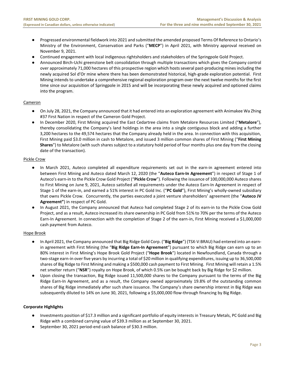- Progressed environmental fieldwork into 2021 and submitted the amended proposed Terms Of Reference to Ontario's Ministry of the Environment, Conservation and Parks ("**MECP**") in April 2021, with Ministry approval received on November 9, 2021.
- Continued engagement with local indigenous rightsholders and stakeholders of the Springpole Gold Project.
- Announced Birch-Uchi greenstone belt consolidation through multiple transactions which gives the Company control over approximately 71,000 hectares of this prospective region which hosts several past-producing mines including the newly acquired Sol d'Or mine where there has been demonstrated historical, high-grade exploration potential. First Mining intends to undertake a comprehensive regional exploration program over the next twelve months for the first time since our acquisition of Springpole in 2015 and will be incorporating these newly acquired and optioned claims into the program.

# Cameron

- On July 28, 2021, the Company announced that it had entered into an exploration agreement with Animakee Wa Zhing #37 First Nation in respect of the Cameron Gold Project.
- In December 2020, First Mining acquired the East Cedartree claims from Metalore Resources Limited ("**Metalore**"), thereby consolidating the Company's land holdings in the area into a single contiguous block and adding a further 3,200 hectares to the 49,574 hectares that the Company already held in the area. In connection with this acquisition, First Mining paid \$3.0 million in cash to Metalore, and issued 3 million common shares of First Mining ("**First Mining Shares**") to Metalore (with such shares subject to a statutory hold period of four months plus one day from the closing date of the transaction).

# Pickle Crow

- In March 2021, Auteco completed all expenditure requirements set out in the earn-in agreement entered into between First Mining and Auteco dated March 12, 2020 (the "**Auteco Earn-In Agreement**") in respect of Stage 1 of Auteco's earn-in to the Pickle Crow Gold Project ("**Pickle Crow**"). Following the issuance of 100,000,000 Auteco shares to First Mining on June 9, 2021, Auteco satisfied all requirements under the Auteco Earn-In Agreement in respect of Stage 1 of the earn-in, and earned a 51% interest in PC Gold Inc. ("**PC Gold**"), First Mining's wholly-owned subsidiary that owns Pickle Crow. Concurrently, the parties executed a joint venture shareholders' agreement (the "**Auteco JV Agreement"**) in respect of PC Gold.
- In August 2021, the Company announced that Auteco had completed Stage 2 of its earn-in to the Pickle Crow Gold Project, and as a result, Auteco increased its share ownership in PC Gold from 51% to 70% per the terms of the Auteco Earn-In Agreement. In connection with the completion of Stage 2 of the earn-in, First Mining received a \$1,000,000 cash payment from Auteco.

# Hope Brook

- In April 2021, the Company announced that Big Ridge Gold Corp. ("**Big Ridge**") (TSX-V:BRAU) had entered into an earnin agreement with First Mining (the "**Big Ridge Earn-In Agreement**") pursuant to which Big Ridge can earn up to an 80% interest in First Mining's Hope Brook Gold Project ("**Hope Brook**") located in Newfoundland, Canada through a two-stage earn-in over five years by incurring a total of \$20 million in qualifying expenditures, issuing up to 36,500,000 shares of Big Ridge to First Mining and making a \$500,000 cash payment to First Mining. First Mining will retain a 1.5% net smelter return ("**NSR**") royalty on Hope Brook, of which 0.5% can be bought back by Big Ridge for \$2 million.
- Upon closing the transaction, Big Ridge issued 11,500,000 shares to the Company pursuant to the terms of the Big Ridge Earn-In Agreement, and as a result, the Company owned approximately 19.8% of the outstanding common shares of Big Ridge immediately after such share issuance. The Company's share ownership interest in Big Ridge was subsequently diluted to 14% on June 30, 2021, following a \$5,000,000 flow-through financing by Big Ridge.

# **Corporate Highlights**

- Investments position of \$17.3 million and a significant portfolio of equity interests in Treasury Metals, PC Gold and Big Ridge with a combined carrying value of \$39.3 million as at September 30, 2021.
- September 30, 2021 period-end cash balance of \$30.3 million.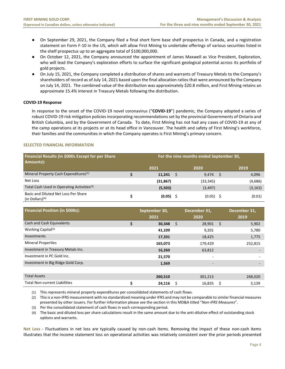- On September 29, 2021, the Company filed a final short form base shelf prospectus in Canada, and a registration statement on Form F-10 in the US, which will allow First Mining to undertake offerings of various securities listed in the shelf prospectus up to an aggregate total of \$100,000,000.
- On October 12, 2021, the Company announced the appointment of James Maxwell as Vice President, Exploration, who will lead the Company's exploration efforts to surface the significant geological potential across its portfolio of gold projects.
- On July 15, 2021, the Company completed a distribution of shares and warrants of Treasury Metals to the Company's shareholders of record as of July 14, 2021 based upon the final allocation ratios that were announced by the Company on July 14, 2021. The combined value of the distribution was approximately \$20.8 million, and First Mining retains an approximate 15.4% interest in Treasury Metals following the distribution.

# **COVID-19 Response**

In response to the onset of the COVID-19 novel coronavirus ("**COVID-19**") pandemic, the Company adopted a series of robust COVID-19 risk mitigation policies incorporating recommendations set by the provincial Governments of Ontario and British Columbia, and by the Government of Canada. To date, First Mining has not had any cases of COVID-19 at any of the camp operations at its projects or at its head office in Vancouver. The health and safety of First Mining's workforce, their families and the communities in which the Company operates is First Mining's primary concern.

# <span id="page-4-0"></span>**SELECTED FINANCIAL INFORMATION**

| Financial Results (in \$000s Except for per Share<br>Amounts): | For the nine months ended September 30, |             |   |             |  |          |  |  |  |
|----------------------------------------------------------------|-----------------------------------------|-------------|---|-------------|--|----------|--|--|--|
|                                                                |                                         | 2021        |   | 2020        |  | 2019     |  |  |  |
| Mineral Property Cash Expenditures <sup>(1)</sup>              |                                         | 11,241      | S | 9,474       |  | 4,096    |  |  |  |
| Net Loss                                                       |                                         | (31, 867)   |   | (33, 345)   |  | (4,686)  |  |  |  |
| Total Cash Used in Operating Activities <sup>(3)</sup>         |                                         | (5,503)     |   | (3, 497)    |  | (3, 163) |  |  |  |
| Basic and Diluted Net Loss Per Share<br>$(in$ Dollars $)(4)$   |                                         | $(0.05)$ \$ |   | $(0.05)$ \$ |  | (0.01)   |  |  |  |

| <b>Financial Position (in \$000s):</b> | September 30,<br>2021 | December 31,<br>2020 |                          |     | December 31,<br>2019 |
|----------------------------------------|-----------------------|----------------------|--------------------------|-----|----------------------|
| Cash and Cash Equivalents              | \$<br>30,348          | \$                   | 28,901                   | -\$ | 5,902                |
| Working Capital <sup>(2)</sup>         | 41,109                |                      | 9,201                    |     | 5,780                |
| Investments                            | 17,331                |                      | 18,425                   |     | 1,775                |
| <b>Mineral Properties</b>              | 165,073               |                      | 179,429                  |     | 252,815              |
| Investment in Treasury Metals Inc.     | 16,260                |                      | 63,812                   |     |                      |
| Investment in PC Gold Inc.             | 21,570                |                      | ٠                        |     |                      |
| Investment in Big Ridge Gold Corp.     | 1,569                 |                      | $\overline{\phantom{a}}$ |     |                      |
|                                        |                       |                      |                          |     |                      |
| <b>Total Assets</b>                    | 260,510               |                      | 301,213                  |     | 268,020              |
| <b>Total Non-current Liabilities</b>   | \$<br>24,116          |                      | 16,835                   |     | 3,139                |

(1) This represents mineral property expenditures per consolidated statements of cash flows.

(2) This is a non-IFRS measurement with no standardized meaning under IFRS and may not be comparable to similar financial measures presented by other issuers. For further information please see the section in this MD&A titled "*Non-IFRS Measures*".

- (3) Per the consolidated statement of cash flows in each corresponding period.
- (4) The basic and diluted loss per share calculations result in the same amount due to the anti-dilutive effect of outstanding stock options and warrants.

**Net Loss** - Fluctuations in net loss are typically caused by non-cash items. Removing the impact of these non-cash items illustrates that the income statement loss on operational activities was relatively consistent over the prior periods presented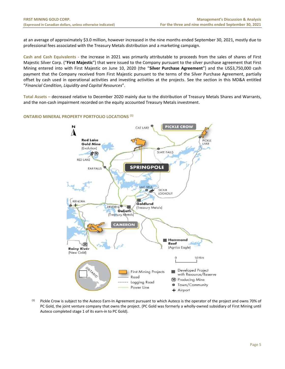at an average of approximately \$3.0 million, however increased in the nine months ended September 30, 2021, mostly due to professional fees associated with the Treasury Metals distribution and a marketing campaign.

**Cash and Cash Equivalents -** the increase in 2021 was primarily attributable to proceeds from the sales of shares of First Majestic Silver Corp. ("**First Majestic**") that were issued to the Company pursuant to the silver purchase agreement that First Mining entered into with First Majestic on June 10, 2020 (the "**Silver Purchase Agreement**") and the US\$3,750,000 cash payment that the Company received from First Majestic pursuant to the terms of the Silver Purchase Agreement, partially offset by cash used in operational activities and investing activities at the projects. See the section in this MD&A entitled "*Financial Condition, Liquidity and Capital Resources*".

**Total Assets –** decreased relative to December 2020 mainly due to the distribution of Treasury Metals Shares and Warrants, and the non-cash impairment recorded on the equity accounted Treasury Metals investment.

# <span id="page-5-0"></span>**ONTARIO MINERAL PROPERTY PORTFOLIO LOCATIONS (1)**



(1) Pickle Crow is subject to the Auteco Earn-In Agreement pursuant to which Auteco is the operator of the project and owns 70% of PC Gold, the joint venture company that owns the project. (PC Gold was formerly a wholly-owned subsidiary of First Mining until Auteco completed stage 1 of its earn-in to PC Gold).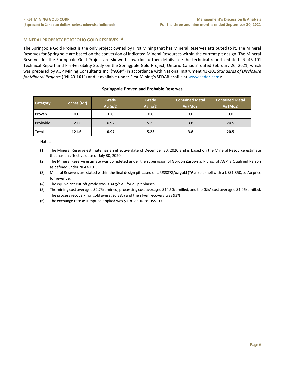# <span id="page-6-0"></span>**MINERAL PROPERTY PORTFOLIO GOLD RESERVES (1)**

The Springpole Gold Project is the only project owned by First Mining that has Mineral Reserves attributed to it. The Mineral Reserves for Springpole are based on the conversion of Indicated Mineral Resources within the current pit design. The Mineral Reserves for the Springpole Gold Project are shown below (for further details, see the technical report entitled "NI 43-101 Technical Report and Pre-Feasibility Study on the Springpole Gold Project, Ontario Canada" dated February 26, 2021, which was prepared by AGP Mining Consultants Inc. ("**AGP**") in accordance with National Instrument 43-101 *Standards of Disclosure for Mineral Projects* ("**NI 43-101**") and is available under First Mining's SEDAR profile at [www.sedar.com\)](http://www.sedar.com/):

| Category | Tonnes (Mt) | Grade<br>Au $(g/t)$ | Grade<br>Ag $(g/t)$ | <b>Contained Metal</b><br>Au (Moz) | <b>Contained Metal</b><br>Ag (Moz) |
|----------|-------------|---------------------|---------------------|------------------------------------|------------------------------------|
| Proven   | 0.0         | 0.0                 | 0.0                 | 0.0                                | 0.0                                |
| Probable | 121.6       | 0.97                | 5.23                | 3.8                                | 20.5                               |
| Total    | 121.6       | 0.97                | 5.23                | 3.8                                | 20.5                               |

#### **Springpole Proven and Probable Reserves**

Notes:

(1) The Mineral Reserve estimate has an effective date of December 30, 2020 and is based on the Mineral Resource estimate that has an effective date of July 30, 2020.

(2) The Mineral Reserve estimate was completed under the supervision of Gordon Zurowski, P.Eng., of AGP, a Qualified Person as defined under NI 43-101.

(3) Mineral Reserves are stated within the final design pit based on a US\$878/oz gold ("**Au**") pit shell with a US\$1,350/oz Au price for revenue.

(4) The equivalent cut-off grade was 0.34 g/t Au for all pit phases.

(5) The mining cost averaged \$2.75/t mined, processing cost averaged \$14.50/t milled, and the G&A cost averaged \$1.06/t milled. The process recovery for gold averaged 88% and the silver recovery was 93%.

(6) The exchange rate assumption applied was \$1.30 equal to US\$1.00.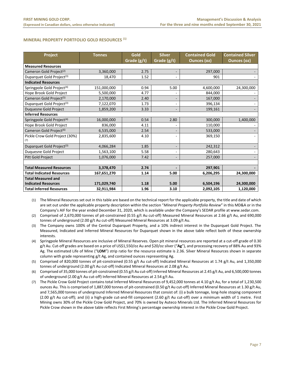# <span id="page-7-0"></span>**MINERAL PROPERTY PORTFOLIO GOLD RESOURCES (1)**

| Project                                | <b>Tonnes</b> | Gold<br><b>Silver</b> |                          | <b>Contained Gold</b> | <b>Contained Silver</b> |
|----------------------------------------|---------------|-----------------------|--------------------------|-----------------------|-------------------------|
|                                        |               | Grade (g/t)           | Grade (g/t)              | <b>Ounces (oz)</b>    | <b>Ounces (oz)</b>      |
| <b>Measured Resources</b>              |               |                       |                          |                       |                         |
| Cameron Gold Project <sup>(2)</sup>    | 3,360,000     | 2.75                  | $\overline{\phantom{a}}$ | 297,000               |                         |
| Duparquet Gold Project <sup>(3)</sup>  | 18,470        | 1.52                  |                          | 901                   |                         |
| <b>Indicated Resources</b>             |               |                       |                          |                       |                         |
| Springpole Gold Project <sup>(4)</sup> | 151,000,000   | 0.94                  | 5.00                     | 4,600,000             | 24,300,000              |
| Hope Brook Gold Project                | 5,500,000     | 4.77                  |                          | 844,000               |                         |
| Cameron Gold Project <sup>(5)</sup>    | 2,170,000     | 2.40                  |                          | 167,000               |                         |
| Duparquet Gold Project <sup>(3)</sup>  | 7,122,070     | 1.73                  | $\overline{\phantom{a}}$ | 396,134               |                         |
| Duquesne Gold Project                  | 1,859,200     | 3.33                  | $\overline{\phantom{a}}$ | 199,161               |                         |
| <b>Inferred Resources</b>              |               |                       |                          |                       |                         |
| Springpole Gold Project <sup>(4)</sup> | 16,000,000    | 0.54                  | 2.80                     | 300,000               | 1,400,000               |
| Hope Brook Gold Project                | 836,000       | 4.11                  |                          | 110,000               |                         |
| Cameron Gold Project <sup>(6)</sup>    | 6,535,000     | 2.54                  | $\overline{\phantom{a}}$ | 533,000               |                         |
| Pickle Crow Gold Project (30%)<br>(7)  | 2,835,600     | 4.10                  |                          | 369,150               |                         |
| Duparquet Gold Project <sup>(3)</sup>  | 4,066,284     | 1.85                  | $\overline{\phantom{a}}$ | 242,312               |                         |
| Duquesne Gold Project                  | 1,563,100     | 5.58                  |                          | 280,643               |                         |
| Pitt Gold Project                      | 1,076,000     | 7.42                  | $\overline{\phantom{a}}$ | 257,000               |                         |
|                                        |               |                       |                          |                       |                         |
| <b>Total Measured Resources</b>        | 3,378,470     | 2.74                  |                          | 297,901               |                         |
| <b>Total Indicated Resources</b>       | 167,651,270   | 1.14                  | 5.00                     | 6,206,295             | 24,300,000              |
| <b>Total Measured and</b>              |               |                       |                          |                       |                         |
| <b>Indicated Resources</b>             | 171,029,740   | 1.18                  | 5.00                     | 6,504,196             | 24,300,000              |
| <b>Total Inferred Resources</b>        | 32,911,984    | 1.96                  | 3.10                     | 2,092,105             | 1,120,000               |

(1) The Mineral Resources set out in this table are based on the technical report for the applicable property, the title and date of which are set out under the applicable property description within the section "*Mineral Property Portfolio Review*" in this MD&A or in the Company's AIF for the year ended December 31, 2020, which is available under the Company's SEDAR profile at www.sedar.com.

(2) Comprised of 2,670,000 tonnes of pit-constrained (0.55 g/t Au cut-off) Measured Mineral Resources at 2.66 g/t Au, and 690,000 tonnes of underground (2.00 g/t Au cut-off) Measured Mineral Resources at 3.09 g/t Au.

(3) The Company owns 100% of the Central Duparquet Property, and a 10% indirect interest in the Duparquet Gold Project. The Measured, Indicated and Inferred Mineral Resources for Duparquet shown in the above table reflect both of these ownership interests.

(4) Springpole Mineral Resources are inclusive of Mineral Reserves. Open pit mineral resources are reported at a cut-off grade of 0.30 g/t Au. Cut-off grades are based on a price of US\$1,550/oz Au and \$20/oz silver ("**Ag**"), and processing recovery of 88% Au and 93% Ag. The estimated Life of Mine ("**LOM**") strip ratio for the resource estimate is 2.36. Silver Mineral Resources shown in separate column with grade representing g/t Ag, and contained ounces representing Ag.

(5) Comprised of 820,000 tonnes of pit-constrained (0.55 g/t Au cut-off) Indicated Mineral Resources at 1.74 g/t Au, and 1,350,000 tonnes of underground (2.00 g/t Au cut-off) Indicated Mineral Resources at 2.08 g/t Au.

- (6) Comprised of 35,000 tonnes of pit-constrained (0.55 g/t Au cut-off) Inferred Mineral Resources at 2.45 g/t Au, and 6,500,000 tonnes of underground (2.00 g/t Au cut-off) Inferred Mineral Resources at 2.54 g/t Au.
- (7) The Pickle Crow Gold Project contains total Inferred Mineral Resources of 9,452,000 tonnes at 4.10 g/t Au, for a total of 1,230,500 ounces Au. This is comprised of 1,887,000 tonnes of pit-constrained (0.50 g/t Au cut-off) Inferred Mineral Resources at 1.30 g/t Au, and 7,565,000 tonnes of underground Inferred Mineral Resources that consist of: (i) a bulk tonnage, long-hole stoping component (2.00 g/t Au cut-off); and (ii) a high-grade cut-and-fill component (2.60 g/t Au cut-off) over a minimum width of 1 metre. First Mining owns 30% of the Pickle Crow Gold Project, and 70% is owned by Auteco Minerals Ltd. The Inferred Mineral Resources for Pickle Crow shown in the above table reflects First Mining's percentage ownership interest in the Pickle Crow Gold Project.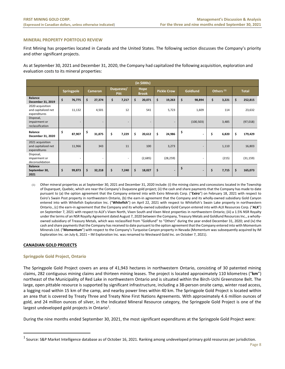#### <span id="page-8-0"></span>**MINERAL PROPERTY PORTFOLIO REVIEW**

First Mining has properties located in Canada and the United States. The following section discusses the Company's priority and other significant projects.

As at September 30, 2021 and December 31, 2020, the Company had capitalized the following acquisition, exploration and evaluation costs to its mineral properties:

|                                                         | (in \$000s) |                   |    |                          |    |       |    |         |    |                |    |                          |    |                      |    |                    |  |                 |  |                       |  |              |
|---------------------------------------------------------|-------------|-------------------|----|--------------------------|----|-------|----|---------|----|----------------|----|--------------------------|----|----------------------|----|--------------------|--|-----------------|--|-----------------------|--|--------------|
|                                                         |             | <b>Springpole</b> |    | Cameron                  |    |       |    |         |    |                |    | Duquesne/<br><b>Pitt</b> |    | Hope<br><b>Brook</b> |    | <b>Pickle Crow</b> |  | <b>Goldlund</b> |  | Others <sup>(1)</sup> |  | <b>Total</b> |
| <b>Balance</b><br>December 31, 2019                     | \$          | 76,775            | \$ | 27,374                   | \$ | 7,217 | \$ | 20,071  | \$ | 19,263         | \$ | 98,894                   | \$ | 3,221                | \$ | 252,815            |  |                 |  |                       |  |              |
| 2020 acquisition<br>and capitalized net<br>expenditures |             | 11,132            |    | 4,501                    |    | 12    |    | 541     |    | 5,723          |    | 1,609                    |    | 114                  |    | 23,632             |  |                 |  |                       |  |              |
| Disposal,<br>impairment or<br>reclassification          |             | ۰                 |    | $\overline{\phantom{a}}$ |    | ۰     |    | ۰       |    | $\sim$         |    | (100, 503)               |    | 3,485                |    | (97, 018)          |  |                 |  |                       |  |              |
| <b>Balance</b><br>December 31, 2020                     | \$          | 87,907            | \$ | 31,875                   | \$ | 7,229 | \$ | 20,612  | \$ | 24,986         | \$ | $\overline{\phantom{a}}$ | \$ | 6,820                | \$ | 179,429            |  |                 |  |                       |  |              |
| 2021 acquisition<br>and capitalized net<br>expenditures |             | 11,966            |    | 343                      |    | 11    |    | 100     |    | 3,273          |    | $\overline{\phantom{a}}$ |    | 1,110                |    | 16,803             |  |                 |  |                       |  |              |
| Disposal,<br>impairment or<br>deconsolidation           |             | ۰                 |    | $\overline{\phantom{a}}$ |    | ٠     |    | (2,685) |    | (28, 259)      |    |                          |    | (215)                |    | (31, 159)          |  |                 |  |                       |  |              |
| <b>Balance</b><br>September 30,<br>2021                 | \$          | 99,873            | \$ | 32,218                   | \$ | 7,240 | \$ | 18,027  | \$ | $\blacksquare$ | \$ | $\overline{\phantom{a}}$ | \$ | 7,715                | \$ | 165,073            |  |                 |  |                       |  |              |

(1) Other mineral properties as at September 30, 2021 and December 31, 2020 include: (i) the mining claims and concessions located in the Township of Duparquet, Quebéc, which are near the Company's Duquesne gold project; (ii) the cash and share payments that the Company has made to date pursuant to (a) the option agreement that the Company entered into with Exiro Minerals Corp. ("**Exiro**") on February 18, 2021 with respect to Exiro's Swain Post property in northwestern Ontario, (b) the earn-in agreement that the Company and its wholly-owned subsidiary Gold Canyon entered into with Whitefish Exploration Inc. ("**Whitefish**") on April 22, 2021 with respect to Whitefish's Swain Lake property in northwestern Ontario., (c) the earn-in agreement that the Company and its wholly-owned subsidiary Gold Canyon entered into with ALX Resources Corp. ("**ALX**") on September 7, 2021 with respect to ALX's Vixen North, Vixen South and Vixen West properties in northwestern Ontario; (iii) a 1.5% NSR Royalty under the terms of an NSR Royalty Agreement dated August 7, 2020 between the Company, Treasury Metals and Goldlund Resources Inc., a whollyowned subsidiary of Treasury Metals, which was reclassified from "Goldlund" to "Others" during the year ended December 31, 2020; and (iv) the cash and share payments that the Company has received to date pursuant to the option agreement that the Company entered into with Momentum Minerals Ltd. ("**Momentum**") with respect to the Company's Turquoise Canyon property in Nevada (Momentum was subsequently acquired by IM Exploration Inc. on July 6, 2021 – IM Exploration Inc. was renamed to Westward Gold Inc. on October 7, 2021).

# **CANADIAN GOLD PROJECTS**

#### **Springpole Gold Project, Ontario**

The Springpole Gold Project covers an area of 41,943 hectares in northwestern Ontario, consisting of 30 patented mining claims, 282 contiguous mining claims and thirteen mining leases. The project is located approximately 110 kilometres ("**km**") northeast of the Municipality of Red Lake in northwestern Ontario and is situated within the Birch-Uchi Greenstone Belt. The large, open pittable resource is supported by significant infrastructure, including a 38-person onsite camp, winter road access, a logging road within 15 km of the camp, and nearby power lines within 40 km. The Springpole Gold Project is located within an area that is covered by Treaty Three and Treaty Nine First Nations Agreements. With approximately 4.6 million ounces of gold, and 24 million ounces of silver, in the Indicated Mineral Resource category, the Springpole Gold Project is one of the largest undeveloped gold projects in Ontario<sup>1</sup>.

During the nine months ended September 30, 2021, the most significant expenditures at the Springpole Gold Project were:

 $^1$  Source: S&P Market Intelligence database as of October 16, 2021. Ranking among undeveloped primary gold resources per jurisdiction.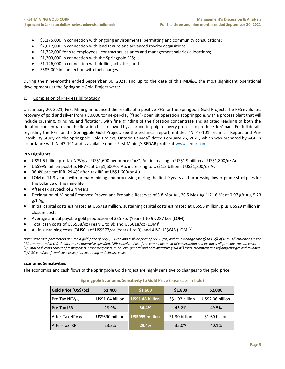- \$3,175,000 in connection with ongoing environmental permitting and community consultations;
- \$2,017,000 in connection with land tenure and advanced royalty acquisitions;
- \$1,732,000 for site employees', contractors' salaries and management salaries allocations;
- \$1,303,000 in connection with the Springpole PFS;
- \$1,126,000 in connection with drilling activities; and
- \$585,000 in connection with fuel charges.

During the nine-months ended September 30, 2021, and up to the date of this MD&A, the most significant operational developments at the Springpole Gold Project were:

# 1. Completion of Pre-Feasibility Study

On January 20, 2021, First Mining announced the results of a positive PFS for the Springpole Gold Project. The PFS evaluates recovery of gold and silver from a 30,000 tonne-per-day ("**tpd**") open pit operation at Springpole, with a process plant that will include crushing, grinding, and flotation, with fine grinding of the flotation concentrate and agitated leaching of both the flotation concentrate and the flotation tails followed by a carbon-in-pulp recovery process to produce doré bars. For full details regarding the PFS for the Springpole Gold Project, see the technical report, entitled "NI 43-101 Technical Report and Pre-Feasibility Study on the Springpole Gold Project, Ontario Canada" dated February 26, 2021, which was prepared by AGP in accordance with NI 43-101 and is available under First Mining's SEDAR profile at [www.sedar.com.](http://www.sedar.com/)

# **PFS Highlights**

- US\$1.5 billion pre-tax NPV5% at US\$1,600 per ounce ("**oz**") Au, increasing to US\$1.9 billion at US\$1,800/oz Au
- US\$995 million post-tax NPV<sub>5%</sub> at US\$1,600/oz Au, increasing to US\$1.3 billion at US\$1,800/oz Au
- 36.4% pre-tax IRR; 29.4% after-tax IRR at US\$1,600/oz Au
- LOM of 11.3 years, with primary mining and processing during the first 9 years and processing lower-grade stockpiles for the balance of the mine life
- After-tax payback of 2.4 years
- Declaration of Mineral Reserves: Proven and Probable Reserves of 3.8 Moz Au, 20.5 Moz Ag (121.6 Mt at 0.97 g/t Au, 5.23 g/t Ag)
- Initial capital costs estimated at US\$718 million, sustaining capital costs estimated at US\$55 million, plus US\$29 million in closure costs
- Average annual payable gold production of 335 koz (Years 1 to 9); 287 koz (LOM)
- Total cash costs of US\$558/oz (Years 1 to 9); and US\$618/oz (LOM)<sup>(1)</sup>
- All-in sustaining costs ("AISC") of US\$577/oz (Years 1 to 9), and AISC US\$645 (LOM)<sup>(2)</sup>

*Note: Base case parameters assume a gold price of US\$1,600/oz and a silver price of US\$20/oz, and an exchange rate (\$ to US\$) of 0.75. All currencies in the PFS are reported in U.S. dollars unless otherwise specified. NPV calculated as of the commencement of construction and excludes all pre-construction costs. (1) Total cash costs consist of mining costs, processing costs, mine-level general and administrative ("G&A") costs, treatment and refining charges and royalties. (2) AISC consists of total cash costs plus sustaining and closure costs.* 

# **Economic Sensitivities**

The economics and cash flows of the Springpole Gold Project are highly sensitive to changes to the gold price.

# **Gold Price (US\$/oz) \$1,400 \$1,600 \$1,800 \$2,000** Pre-Tax NPV5% US\$1.04 billion **US\$1.48 billion** US\$1.92 billion US\$2.36 billion Pre-Tax IRR 28.9% **36.4%** 43.2% 49.5% After-Tax NPV<sub>5%</sub> | US\$690 million | US\$995 million | \$1.30 billion | \$1.60 billion After-Tax IRR 23.3% **29.4%** 35.0% 40.1%

# **Springpole Economic Sensitivity to Gold Price** (base case in bold)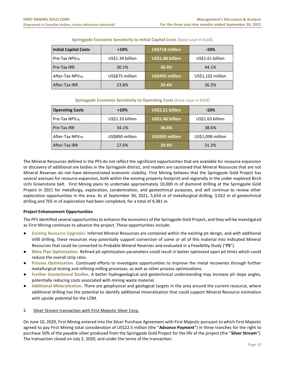| <b>Initial Capital Costs</b> | $+10%$           | US\$718 million  | $-10%$            |  |  |  |
|------------------------------|------------------|------------------|-------------------|--|--|--|
| Pre-Tax NPV <sub>5%</sub>    | US\$1.34 billion | US\$1.48 billion | US\$1.61 billion  |  |  |  |
| Pre-Tax IRR                  | 30.1%            | 36.4%            | 44.1%             |  |  |  |
| After-Tax NPV <sub>5%</sub>  | US\$875 million  | US\$995 million  | US\$1,102 million |  |  |  |
| After-Tax IRR                | 23.8%            | 29.4%            | 36.3%             |  |  |  |

# **Springpole Economic Sensitivity to Initial Capital Costs** (base case in bold)

# **Springpole Economic Sensitivity to Operating Costs** (base case in bold)

| <b>Operating Costs</b>      | $+10%$           | US\$2.21 billion | $-10%$            |  |  |  |
|-----------------------------|------------------|------------------|-------------------|--|--|--|
| Pre-Tax NPV <sub>5%</sub>   | US\$1.33 billion | US\$1.48 billion | US\$1.63 billion  |  |  |  |
| Pre-Tax IRR                 | 34.1%            | 36.4%            | 38.6%             |  |  |  |
| After-Tax NPV <sub>5%</sub> | US\$890 million  | US\$995 million  | US\$1,098 million |  |  |  |
| After-Tax IRR               | 27.6%            | 29.4%            | 31.3%             |  |  |  |

The Mineral Resources defined in the PFS do not reflect the significant opportunities that are available for resource expansion or discovery of additional ore bodies in the Springpole district, and readers are cautioned that Mineral Resources that are not Mineral Reserves do not have demonstrated economic viability. First Mining believes that the Springpole Gold Project has several avenues for resource expansion, both within the existing property footprint and regionally in the under-explored Birch Uchi Greenstone belt. First Mining plans to undertake approximately 10,000 m of diamond drilling at the Springpole Gold Project in 2021 for metallurgy, exploration, condemnation, and geotechnical purposes, and will continue to review other exploration opportunities in the area. As at September 30, 2021, 5,654 m of metallurgical drilling, 3,022 m of geotechnical drilling and 705 m of exploration had been completed, for a total of 9,381 m.

# **Project Enhancement Opportunities**

The PFS identified several opportunities to enhance the economics of the Springpole Gold Project, and they will be investigated as First Mining continues to advance the project. These opportunities include:

- **Existing Resource Upgrades.** Inferred Mineral Resources are contained within the existing pit design, and with additional infill drilling, these resources may potentially support conversion of some or all of this material into Indicated Mineral Resources that could be converted to Probable Mineral Reserves and evaluated in a Feasibility Study ("**FS**").
- **Mine Plan Optimization.** Refined pit optimization parameters could result in better optimized open pit limits which could reduce the overall strip ratio.
- **Process Optimization.** Continued efforts to investigate opportunities to improve the metal recoveries through further metallurgical testing and refining milling processes, as well as other process optimizations.
- Further Geotechnical Studies. A better hydrogeological and geotechnical understanding may increase pit slope angles, potentially reducing costs associated with mining waste material.
- **Additional Mineralization.** There are geophysical and geological targets in the area around the current resource, where additional drilling has the potential to identify additional mineralization that could support Mineral Resource estimation with upside potential for the LOM.

# 2. Silver Stream transaction with First Majestic Silver Corp.

On June 10, 2020, First Mining entered into the Silver Purchase Agreement with First Majestic pursuant to which First Majestic agreed to pay First Mining total consideration of US\$22.5 million (the "**Advance Payment**") in three tranches for the right to purchase 50% of the payable silver produced from the Springpole Gold Project for the life of the project (the "**Silver Stream**"). The transaction closed on July 2, 2020, and under the terms of the transaction: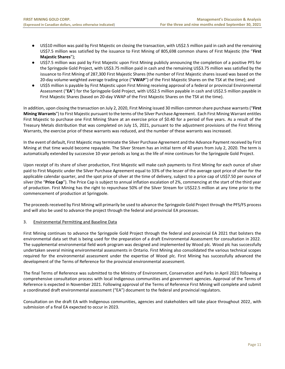- US\$10 million was paid by First Majestic on closing the transaction, with US\$2.5 million paid in cash and the remaining US\$7.5 million was satisfied by the issuance to First Mining of 805,698 common shares of First Majestic (the "**First Majestic Shares**");
- US\$7.5 million was paid by First Majestic upon First Mining publicly announcing the completion of a positive PFS for the Springpole Gold Project, with US\$3.75 million paid in cash and the remaining US\$3.75 million was satisfied by the issuance to First Mining of 287,300 First Majestic Shares (the number of First Majestic shares issued was based on the 20-day volume-weighted average trading price ("**VWAP**") of the First Majestic Shares on the TSX at the time); and
- US\$5 million is payable by First Majestic upon First Mining receiving approval of a federal or provincial Environmental Assessment ("**EA**") for the Springpole Gold Project, with US\$2.5 million payable in cash and US\$2.5 million payable in First Majestic Shares (based on 20-day VWAP of the First Majestic Shares on the TSX at the time).

In addition, upon closing the transaction on July 2, 2020, First Mining issued 30 million common share purchase warrants ("**First Mining Warrants**") to First Majestic pursuant to the terms of the Silver Purchase Agreement. Each First Mining Warrant entitles First Majestic to purchase one First Mining Share at an exercise price of \$0.40 for a period of five years. As a result of the Treasury Metals distribution that was completed on July 15, 2021, pursuant to the adjustment provisions of the First Mining Warrants, the exercise price of these warrants was reduced, and the number of these warrants was increased.

In the event of default, First Majestic may terminate the Silver Purchase Agreement and the Advance Payment received by First Mining at that time would become repayable. The Silver Stream has an initial term of 40 years from July 2, 2020. The term is automatically extended by successive 10-year periods as long as the life of mine continues for the Springpole Gold Project.

Upon receipt of its share of silver production, First Majestic will make cash payments to First Mining for each ounce of silver paid to First Majestic under the Silver Purchase Agreement equal to 33% of the lesser of the average spot price of silver for the applicable calendar quarter, and the spot price of silver at the time of delivery, subject to a price cap of US\$7.50 per ounce of silver (the "**Price Cap**"). The Price Cap is subject to annual inflation escalation of 2%, commencing at the start of the third year of production. First Mining has the right to repurchase 50% of the Silver Stream for US\$22.5 million at any time prior to the commencement of production at Springpole.

The proceeds received by First Mining will primarily be used to advance the Springpole Gold Project through the PFS/FS process and will also be used to advance the project through the federal and provincial EA processes.

# 3. Environmental Permitting and Baseline Data

First Mining continues to advance the Springpole Gold Project through the federal and provincial EA 2021 that bolsters the environmental data set that is being used for the preparation of a draft Environmental Assessment for consultation in 2022. The supplemental environmental field work program was designed and implemented by Wood plc. Wood plc has successfully undertaken several mining environmental assessments in Ontario. First Mining also consolidated the various technical scopes required for the environmental assessment under the expertise of Wood plc. First Mining has successfully advanced the development of the Terms of Reference for the provincial environmental assessment.

The final Terms of Reference was submitted to the Ministry of Environment, Conservation and Parks in April 2021 following a comprehensive consultation process with local Indigenous communities and government agencies. Approval of the Terms of Reference is expected in November 2021. Following approval of the Terms of Reference First Mining will complete and submit a coordinated draft environmental assessment ("EA") document to the federal and provincial regulators.

Consultation on the draft EA with Indigenous communities, agencies and stakeholders will take place throughout 2022, with submission of a final EA expected to occur in 2023.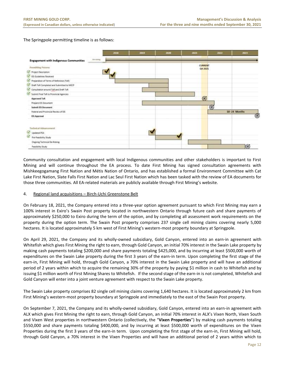The Springpole permitting timeline is as follows:



Community consultation and engagement with local Indigenous communities and other stakeholders is important to First Mining and will continue throughout the EA process. To date First Mining has signed consultation agreements with Mishkeegogamang First Nation and Métis Nation of Ontario, and has established a formal Environment Committee with Cat Lake First Nation, Slate Falls First Nation and Lac Seul First Nation which has been tasked with the review of EA documents for those three communities. All EA-related materials are publicly available through First Mining's website.

# 4. Regional land acquisitions – Birch-Uchi Greenstone Belt

On February 18, 2021, the Company entered into a three-year option agreement pursuant to which First Mining may earn a 100% interest in Exiro's Swain Post property located in northwestern Ontario through future cash and share payments of approximately \$250,000 to Exiro during the term of the option, and by completing all assessment work requirements on the property during the option term. The Swain Post property comprises 237 single cell mining claims covering nearly 5,000 hectares. It is located approximately 5 km west of First Mining's western-most property boundary at Springpole.

On April 29, 2021, the Company and its wholly-owned subsidiary, Gold Canyon, entered into an earn-in agreement with Whitefish which gives First Mining the right to earn, through Gold Canyon, an initial 70% interest in the Swain Lake property by making cash payments totaling \$200,000 and share payments totaling \$425,000, and by incurring at least \$500,000 worth of expenditures on the Swain Lake property during the first 3 years of the earn-in term. Upon completing the first stage of the earn-in, First Mining will hold, through Gold Canyon, a 70% interest in the Swain Lake property and will have an additional period of 2 years within which to acquire the remaining 30% of the property by paying \$1 million in cash to Whitefish and by issuing \$1 million worth of First Mining Shares to Whitefish. If the second stage of the earn-in is not completed, Whitefish and Gold Canyon will enter into a joint venture agreement with respect to the Swain Lake property.

The Swain Lake property comprises 82 single cell mining claims covering 1,640 hectares. It is located approximately 2 km from First Mining's western-most property boundary at Springpole and immediately to the east of the Swain Post property.

On September 7, 2021, the Company and its wholly-owned subsidiary, Gold Canyon, entered into an earn-in agreement with ALX which gives First Mining the right to earn, through Gold Canyon, an initial 70% interest in ALX's Vixen North, Vixen South and Vixen West properties in northwestern Ontario (collectively, the "**Vixen Properties**") by making cash payments totaling \$550,000 and share payments totaling \$400,000, and by incurring at least \$500,000 worth of expenditures on the Vixen Properties during the first 3 years of the earn-in term. Upon completing the first stage of the earn-in, First Mining will hold, through Gold Canyon, a 70% interest in the Vixen Properties and will have an additional period of 2 years within which to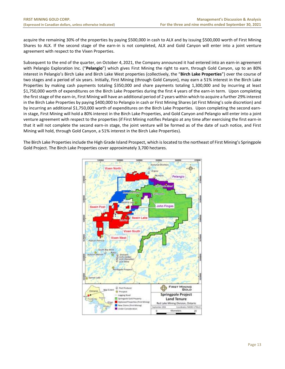acquire the remaining 30% of the properties by paying \$500,000 in cash to ALX and by issuing \$500,000 worth of First Mining Shares to ALX. If the second stage of the earn-in is not completed, ALX and Gold Canyon will enter into a joint venture agreement with respect to the Vixen Properties.

Subsequent to the end of the quarter, on October 4, 2021, the Company announced it had entered into an earn-in agreement with Pelangio Exploration Inc. ("**Pelangio**") which gives First Mining the right to earn, through Gold Canyon, up to an 80% interest in Pelangio's Birch Lake and Birch Lake West properties (collectively, the "**Birch Lake Properties**") over the course of two stages and a period of six years. Initially, First Mining (through Gold Canyon), may earn a 51% interest in the Birch Lake Properties by making cash payments totaling \$350,000 and share payments totaling 1,300,000 and by incurring at least \$1,750,000 worth of expenditures on the Birch Lake Properties during the first 4 years of the earn-in term. Upon completing the first stage of the earn-in, First Mining will have an additional period of 2 years within which to acquire a further 29% interest in the Birch Lake Properties by paying \$400,000 to Pelangio in cash or First Mining Shares (at First Mining's sole discretion) and by incurring an additional \$1,750,000 worth of expenditures on the Birch Lake Properties. Upon completing the second earnin stage, First Mining will hold a 80% interest in the Birch Lake Properties, and Gold Canyon and Pelangio will enter into a joint venture agreement with respect to the properties (if First Mining notifies Pelangio at any time after exercising the first earn-in that it will not complete the second earn-in stage, the joint venture will be formed as of the date of such notice, and First Mining will hold, through Gold Canyon, a 51% interest in the Birch Lake Properties).

The Birch Lake Properties include the High Grade Island Prospect, which is located to the northeast of First Mining's Springpole Gold Project. The Birch Lake Properties cover approximately 3,700 hectares.

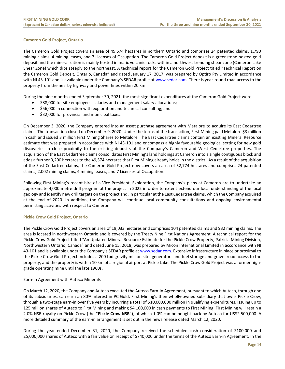# **Cameron Gold Project, Ontario**

The Cameron Gold Project covers an area of 49,574 hectares in northern Ontario and comprises 24 patented claims, 1,790 mining claims, 4 mining leases, and 7 Licenses of Occupation. The Cameron Gold Project deposit is a greenstone‐hosted gold deposit and the mineralization is mainly hosted in mafic volcanic rocks within a northwest trending shear zone (Cameron Lake Shear Zone) which dips steeply to the northeast. A technical report for the Cameron Gold Project titled "Technical Report on the Cameron Gold Deposit, Ontario, Canada" and dated January 17, 2017, was prepared by Optiro Pty Limited in accordance with NI 43-101 and is available under the Company's SEDAR profile at [www.sedar.com.](http://www.sedar.com/) There is year-round road access to the property from the nearby highway and power lines within 20 km.

During the nine months ended September 30, 2021, the most significant expenditures at the Cameron Gold Project were:

- \$88,000 for site employees' salaries and management salary allocations;
- \$56,000 in connection with exploration and technical consulting; and
- \$32,000 for provincial and municipal taxes.

On December 3, 2020, the Company entered into an asset purchase agreement with Metalore to acquire its East Cedartree claims. The transaction closed on December 9, 2020. Under the terms of the transaction, First Mining paid Metalore \$3 million in cash and issued 3 million First Mining Shares to Metalore. The East Cedartree claims contain an existing Mineral Resource estimate that was prepared in accordance with NI 43-101 and encompass a highly favourable geological setting for new gold discoveries in close proximity to the existing deposits at the Company's Cameron and West Cedartree properties. The acquisition of the East Cedartree claims consolidates First Mining's land holdings at Cameron into a single contiguous block and adds a further 3,200 hectares to the 49,574 hectares that First Mining already holds in the district. As a result of the acquisition of the East Cedartree claims, the Cameron Gold Project now covers an area of 52,774 hectares and comprises 24 patented claims, 2,002 mining claims, 4 mining leases, and 7 Licenses of Occupation.

Following First Mining's recent hire of a Vice President, Exploration, the Company's plans at Cameron are to undertake an approximate 4,000 metre drill program at the project in 2022 in order to extent extend our local understanding of the local geology and identify new drill targets on the project and, in particular at the East Cedartree claims, which the Company acquired at the end of 2020. In addition, the Company will continue local community consultations and ongoing environmental permitting activities with respect to Cameron.

# **Pickle Crow Gold Project, Ontario**

The Pickle Crow Gold Project covers an area of 19,033 hectares and comprises 104 patented claims and 932 mining claims. The area is located in northwestern Ontario and is covered by the Treaty Nine First Nations Agreement. A technical report for the Pickle Crow Gold Project titled "An Updated Mineral Resource Estimate for the Pickle Crow Property, Patricia Mining Division, Northwestern Ontario, Canada" and dated June 15, 2018, was prepared by Micon International Limited in accordance with NI 43-101 and is available under the Company's SEDAR profile at [www.sedar.com.](http://www.sedar.com/) Extensive infrastructure in place or proximal to the Pickle Crow Gold Project includes a 200 tpd gravity mill on site, generators and fuel storage and gravel road access to the property, and the property is within 10 km of a regional airport at Pickle Lake. The Pickle Crow Gold Project was a former highgrade operating mine until the late 1960s.

# Earn-In Agreement with Auteco Minerals

On March 12, 2020, the Company and Auteco executed the Auteco Earn-In Agreement, pursuant to which Auteco, through one of its subsidiaries, can earn an 80% interest in PC Gold, First Mining's then wholly-owned subsidiary that owns Pickle Crow, through a two-stage earn-in over five years by incurring a total of \$10,000,000 million in qualifying expenditures, issuing up to 125 million shares of Auteco to First Mining and making \$4,100,000 in cash payments to First Mining. First Mining will retain a 2.0% NSR royalty on Pickle Crow (the "**Pickle Crow NSR**"), of which 1.0% can be bought back by Auteco for US\$2,500,000. A more detailed summary of the earn-in arrangement is set out in the news release dated March 12, 2020.

During the year ended December 31, 2020, the Company received the scheduled cash consideration of \$100,000 and 25,000,000 shares of Auteco with a fair value on receipt of \$740,000 under the terms of the Auteco Earn-in Agreement. In the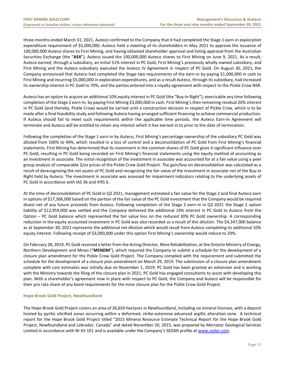three-months ended March 31, 2021, Auteco confirmed to the Company that it had completed the Stage 1 earn-in exploration expenditure requirement of \$5,000,000. Auteco held a meeting of its shareholders in May 2021 to approve the issuance of 100,000,000 Auteco shares to First Mining, and having obtained shareholder approval and listing approval from the Australian Securities Exchange (the "**ASX**"), Auteco issued the 100,000,000 Auteco shares to First Mining on June 9, 2021. As a result, Auteco earned, through a subsidiary, an initial 51% interest in PC Gold, First Mining's previously wholly-owned subsidiary, and First Mining and the Auteco subsidiary executed the Auteco JV Agreement in respect of PC Gold. On August 30, 2021, the Company announced that Auteco had completed the Stage two requirements of the earn-in by paying \$1,000,000 in cash to First Mining and incurring \$5,000,000 in exploration expenditures, and as a result Auteco, through its subsidiary, had increased its ownership interest in PC Gold to 70%, and the parties entered into a royalty agreement with respect to the Pickle Crow NSR.

Auteco has an option to acquire an additional 10% equity interest in PC Gold (the "Buy-In Right"), exercisable any time following completion of the Stage 2 earn-In, by paying First Mining \$3,000,000 in cash. First Mining's then remaining residual 20% interest in PC Gold (and thereby, Pickle Crow) would be carried until a construction decision in respect of Pickle Crow, which is to be made after a final feasibility study and following Auteco having arranged sufficient financing to achieve commercial production. If Auteco should fail to meet such requirements within the applicable time periods, the Auteco Earn-In Agreement will terminate and Auteco will be entitled to retain any interest which it has earned-in to prior to the date of termination.

Following the completion of the Stage 1 earn-in by Auteco, First Mining's percentage ownership of the subsidiary PC Gold was diluted from 100% to 49%, which resulted in a loss of control and a deconsolidation of PC Gold from First Mining's financial statements. First Mining has determined that its investment in the common shares of PC Gold gives it significant influence over PC Gold, resulting in PC Gold being recorded on First Mining's financial statements using the equity method of accounting as an investment in associate. The initial recognition of the investment in associate was accounted for at a fair value using a peer group analysis of comparable \$/oz prices of the Pickle Crow Gold Project. The gain/loss on deconsolidation was calculated as a result of derecognizing the net assets of PC Gold and recognizing the fair value of the investment in associate net of the Buy-In Right held by Auteco. The investment in associate was assessed for impairment indicators relating to the underlying assets of PC Gold in accordance with IAS 36 and IFRS 6.

At the time of deconsolidation of PC Gold in Q2 2021, management estimated a fair value for the Stage 2 and final Auteco earn in options of \$17,306,000 based on the portion of the fair value of the PC Gold investment that the Company would be required divest net of any future proceeds from Auteco. Following completion of the Stage 2 earn-in in Q3 2021 the Stage 2 option liability of \$12,959,000 was settled and the Company delivered the additional 19% interest in PC Gold to Auteco from the Option – PC Gold balance which represented the fair value loss on the reduced 30% PC Gold ownership. A corresponding reduction in the equity accounted investment in PC Gold was also recorded as a result of this dilution. The \$4,347,000 balance as at September 30, 2021 represents the additional net dilution which would result from Auteco completing its additional 10% equity interest. Following receipt of \$3,000,000 under this option First Mining's ownership would reduce to 20%.

On February 28, 2019, PC Gold received a letter from the Acting Director, Mine Rehabilitation, at the Ontario Ministry of Energy, Northern Development and Mines ("**MENDM**"), which required the Company to submit a schedule for the development of a closure plan amendment for the Pickle Crow Gold Project. The Company complied with the requirement and submitted the schedule for the development of a closure plan amendment on March 29, 2019. The submission of a closure plan amendment complete with cost estimates was initially due on November 1, 2019. PC Gold has been granted an extension and is working with the Ministry towards the filing of the closure plan in 2021. PC Gold has engaged consultants to assist with developing this plan. With a shareholder's agreement now in place with respect to PC Gold, the Company and Auteco will be responsible for their pro rata share of any bond requirements for the mine closure plan for the Pickle Crow Gold Project.

# **Hope Brook Gold Project, Newfoundland**

The Hope Brook Gold Project covers an area of 26,650 hectares in Newfoundland, including six mineral licenses, with a deposit hosted by pyritic silicified zones occurring within a deformed, strike-extensive advanced argillic alteration zone. A technical report for the Hope Brook Gold Project titled "2015 Mineral Resource Estimate Technical Report for the Hope Brook Gold Project, Newfoundland and Labrador, Canada" and dated November 20, 2015, was prepared by Mercator Geological Services Limited in accordance with NI 43-101 and is available under the Company's SEDAR profile at www.sedar.com.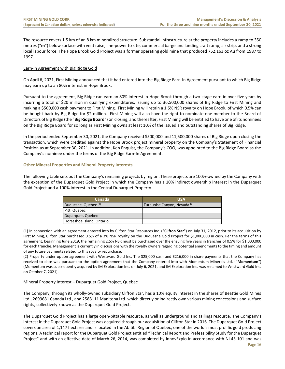The resource covers 1.5 km of an 8 km mineralized structure. Substantial infrastructure at the property includes a ramp to 350 metres ("**m**") below surface with vent raise, line-power to site, commercial barge and landing craft ramp, air strip, and a strong local labour force. The Hope Brook Gold Project was a former operating gold mine that produced 752,163 oz Au from 1987 to 1997.

# Earn-In Agreement with Big Ridge Gold

On April 6, 2021, First Mining announced that it had entered into the Big Ridge Earn-In Agreement pursuant to which Big Ridge may earn up to an 80% interest in Hope Brook.

Pursuant to the agreement, Big Ridge can earn an 80% interest in Hope Brook through a two-stage earn-in over five years by incurring a total of \$20 million in qualifying expenditures, issuing up to 36,500,000 shares of Big Ridge to First Mining and making a \$500,000 cash payment to First Mining. First Mining will retain a 1.5% NSR royalty on Hope Brook, of which 0.5% can be bought back by Big Ridge for \$2 million. First Mining will also have the right to nominate one member to the Board of Directors of Big Ridge (the "**Big Ridge Board**") on closing, and thereafter, First Mining will be entitled to have one of its nominees on the Big Ridge Board for so long as First Mining owns at least 10% of the issued and outstanding shares of Big Ridge.

In the period ended September 30, 2021, the Company received \$500,000 and 11,500,000 shares of Big Ridge upon closing the transaction, which were credited against the Hope Brook project mineral property on the Company's Statement of Financial Position as at September 30, 2021. In addition, Ken Enquist, the Company's COO, was appointed to the Big Ridge Board as the Company's nominee under the terms of the Big Ridge Earn-In Agreement.

# **Other Mineral Properties and Mineral Property Interests**

The following table sets out the Company's remaining projects by region. These projects are 100%-owned by the Company with the exception of the Duparquet Gold Project in which the Company has a 10% indirect ownership interest in the Duparquet Gold Project and a 100% interest in the Central Duparquet Property.

| Canada                          | <b>USA</b>                              |
|---------------------------------|-----------------------------------------|
| Duquesne, Québec <sup>(1)</sup> | Turquoise Canyon, Nevada <sup>(2)</sup> |
| Pitt, Québec                    |                                         |
| Duparquet, Québec               |                                         |
| Horseshoe Island, Ontario       |                                         |

(1) In connection with an agreement entered into by Clifton Star Resources Inc. ("**Clifton Star**") on July 31, 2012, prior to its acquisition by First Mining, Clifton Star purchased 0.5% of a 3% NSR royalty on the Duquesne Gold Project for \$1,000,000 in cash. Per the terms of this agreement, beginning June 2019, the remaining 2.5% NSR must be purchased over the ensuing five years in tranches of 0.5% for \$1,000,000 for each tranche. Management is currently in discussions with the royalty owners regarding potential amendments to the timing and amount of any future payments related to this royalty repurchase.

(2) Property under option agreement with Westward Gold Inc. The \$25,000 cash and \$216,000 in share payments that the Company has received to date was pursuant to the option agreement that the Company entered into with Momentum Minerals Ltd. ("**Momentum**") (Momentum was subsequently acquired by IM Exploration Inc. on July 6, 2021, and IM Exploration Inc. was renamed to Westward Gold Inc. on October 7, 2021).

# Mineral Property Interest – Duparquet Gold Project, Québec

The Company, through its wholly-owned subsidiary Clifton Star, has a 10% equity interest in the shares of Beattie Gold Mines Ltd., 2699681 Canada Ltd., and 2588111 Manitoba Ltd. which directly or indirectly own various mining concessions and surface rights, collectively known as the Duparquet Gold Project.

The Duparquet Gold Project has a large open-pittable resource, as well as underground and tailings resource. The Company's interest in the Duparquet Gold Project was acquired through our acquisition of Clifton Star in 2016. The Duparquet Gold Project covers an area of 1,147 hectares and is located in the Abitibi Region of Québec, one of the world's most prolific gold producing regions. A technical report for the Duparquet Gold Project entitled "Technical Report and Prefeasibility Study for the Duparquet Project" and with an effective date of March 26, 2014, was completed by InnovExplo in accordance with NI 43-101 and was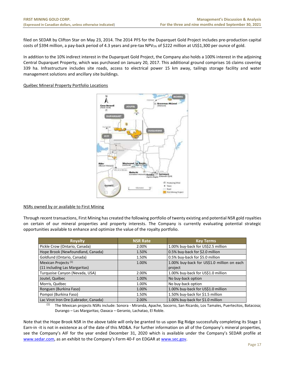filed on SEDAR by Clifton Star on May 23, 2014. The 2014 PFS for the Duparquet Gold Project includes pre-production capital costs of \$394 million, a pay-back period of 4.3 years and pre-tax NPV<sub>5%</sub> of \$222 million at US\$1,300 per ounce of gold.

In addition to the 10% indirect interest in the Duparquet Gold Project, the Company also holds a 100% interest in the adjoining Central Duparquet Property, which was purchased on January 20, 2017. This additional ground comprises 16 claims covering 339 ha. Infrastructure includes site roads, access to electrical power 15 km away, tailings storage facility and water management solutions and ancillary site buildings.

# Québec Mineral Property Portfolio Locations



# NSRs owned by or available to First Mining

Through recent transactions, First Mining has created the following portfolio of twenty existing and potential NSR gold royalties on certain of our mineral properties and property interests. The Company is currently evaluating potential strategic opportunities available to enhance and optimize the value of the royalty portfolio.

| <b>Royalty</b>                        | <b>NSR Rate</b> | <b>Key Terms</b>                           |
|---------------------------------------|-----------------|--------------------------------------------|
| Pickle Crow (Ontario, Canada)         | 2.00%           | 1.00% buy-back for US\$2.5 million         |
| Hope Brook (Newfoundland, Canada)     | 1.50%           | 0.5% buy-back for \$2.0 million            |
| Goldlund (Ontario, Canada)            | 1.50%           | 0.5% buy-back for \$5.0 million            |
| Mexican Projects <sup>(1)</sup>       | 1.00%           | 1.00% buy-back for US\$1.0 million on each |
| (11 including Las Margaritas)         |                 | project                                    |
| Turquoise Canyon (Nevada, USA)        | 2.00%           | 1.00% buy-back for US\$1.0 million         |
| Joutel, Québec                        | 1.00%           | No buy-back option                         |
| Morris, Québec                        | 1.00%           | No buy-back option                         |
| Ronguen (Burkina Faso)                | 1.00%           | 1.00% buy-back for US\$1.0 million         |
| Pompoi (Burkina Faso)                 | 1.50%           | 1.50% buy-back for \$1.5 million           |
| Lac Virot Iron Ore (Labrador, Canada) | 2.00%           | 1.00% buy-back for \$1.0 million           |

(1) The Mexican projects NSRs include: Sonora - Miranda, Apache, Socorro, San Ricardo, Los Tamales, Puertecitos, Batacosa; Durango – Las Margaritas; Oaxaca – Geranio, Lachatao, El Roble.

Note that the Hope Brook NSR in the above table will only be granted to us upon Big Ridge successfully completing its Stage 1 Earn-in -it is not in existence as of the date of this MD&A. For further information on all of the Company's mineral properties, see the Company's AIF for the year ended December 31, 2020 which is available under the Company's SEDAR profile at [www.sedar.com](http://www.sedar.com/), as an exhibit to the Company's Form 40-F on EDGAR a[t www.sec.gov.](http://www.sec.gov/)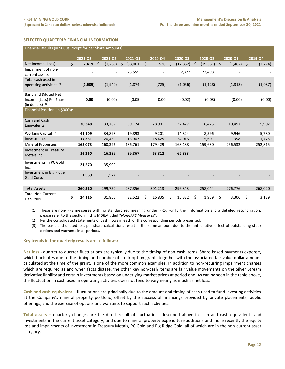# <span id="page-18-0"></span>**SELECTED QUARTERLY FINANCIAL INFORMATION**

| Financial Results (in \$000s Except for per Share Amounts): |    |         |                          |    |          |    |         |                 |                 |         |          |                |
|-------------------------------------------------------------|----|---------|--------------------------|----|----------|----|---------|-----------------|-----------------|---------|----------|----------------|
|                                                             |    | 2021-Q3 | 2021-02                  |    | 2021-Q1  |    | 2020-Q4 | 2020-Q3         | 2020-Q2         |         | 2020-Q1  | 2019-Q4        |
| Net Income (Loss)                                           | \$ | 2,419   | \$<br>(1, 283)           | \$ | (33,001) | \$ | 530     | \$<br>(12, 352) | \$<br>(19, 531) | $\zeta$ | (1, 462) | \$<br>(2, 274) |
| Impairment of non-                                          |    |         | $\overline{\phantom{a}}$ |    | 23,555   |    |         | 2,372           | 22,498          |         |          |                |
| current assets                                              |    |         |                          |    |          |    |         |                 |                 |         |          |                |
| Total cash used in                                          |    |         |                          |    |          |    |         |                 |                 |         |          |                |
| operating activities (2)                                    |    | (1,689) | (1,940)                  |    | (1,874)  |    | (725)   | (1,056)         | (1, 128)        |         | (1, 313) | (1,037)        |
| Basic and Diluted Net                                       |    |         |                          |    |          |    |         |                 |                 |         |          |                |
| Income (Loss) Per Share                                     |    | 0.00    | (0.00)                   |    | (0.05)   |    | 0.00    | (0.02)          | (0.03)          |         | (0.00)   | (0.00)         |
| (in dollars) $(3)$                                          |    |         |                          |    |          |    |         |                 |                 |         |          |                |
| Financial Position (in \$000s):                             |    |         |                          |    |          |    |         |                 |                 |         |          |                |
| Cash and Cash                                               |    |         |                          |    |          |    |         |                 |                 |         |          |                |
| Equivalents                                                 |    | 30,348  | 33,762                   |    | 39,174   |    | 28,901  | 32,477          | 6,475           |         | 10,497   | 5,902          |
| Working Capital <sup>(1)</sup>                              |    | 41,109  | 34,898                   |    | 19,893   |    | 9,201   | 14,324          | 8,596           |         | 9,946    | 5,780          |
| Investments                                                 |    | 17,331  | 20,450                   |    | 13,907   |    | 18,425  | 24,016          | 5,601           |         | 1,398    | 1,775          |
| <b>Mineral Properties</b>                                   |    | 165,073 | 160,322                  |    | 186,761  |    | 179,429 | 168,188         | 159,630         |         | 256,532  | 252,815        |
| <b>Investment in Treasury</b>                               |    |         |                          |    |          |    |         |                 |                 |         |          |                |
| Metals Inc.                                                 |    | 16,260  | 16,236                   |    | 39,867   |    | 63,812  | 62,833          |                 |         |          |                |
| Investments in PC Gold<br>Inc.                              |    | 21,570  | 35,999                   |    |          |    |         |                 |                 |         |          |                |
| Investment in Big Ridge                                     |    | 1,569   | 1,577                    |    |          |    |         |                 |                 |         |          |                |
| Gold Corp.                                                  |    |         |                          |    |          |    |         |                 |                 |         |          |                |
|                                                             |    |         |                          |    |          |    |         |                 |                 |         |          |                |
| <b>Total Assets</b>                                         |    | 260,510 | 299,750                  |    | 287,856  |    | 301,213 | 296,343         | 258,044         |         | 276,776  | 268,020        |
| <b>Total Non-Current</b><br>Liabilities                     | \$ | 24,116  | 31,855                   |    | 32,522   | \$ | 16,835  | \$<br>15,332    | \$<br>1,959     | \$      | 3,306    | \$<br>3,139    |

(1) These are non-IFRS measures with no standardized meaning under IFRS. For further information and a detailed reconciliation, please refer to the section in this MD&A titled "*Non-IFRS Measures*".

(2) Per the consolidated statements of cash flows in each of the corresponding periods presented.

(3) The basic and diluted loss per share calculations result in the same amount due to the anti‐dilutive effect of outstanding stock options and warrants in all periods.

# **Key trends in the quarterly results are as follows:**

**Net loss -** quarter to quarter fluctuations are typically due to the timing of non-cash items. Share-based payments expense, which fluctuates due to the timing and number of stock option grants together with the associated fair value dollar amount calculated at the time of the grant, is one of the more common examples. In addition to non-recurring impairment charges which are required as and when facts dictate, the other key non-cash items are fair value movements on the Silver Stream derivative liability and certain investments based on underlying market prices at period end. As can be seen in the table above, the fluctuation in cash used in operating activities does not tend to vary nearly as much as net loss.

**Cash and cash equivalent –** fluctuations are principally due to the amount and timing of cash used to fund investing activities at the Company's mineral property portfolio, offset by the success of financings provided by private placements, public offerings, and the exercise of options and warrants to support such activities.

**Total assets –** quarterly changes are the direct result of fluctuations described above in cash and cash equivalents and investments in the current asset category, and due to mineral property expenditure additions and more recently the equity loss and impairments of investment in Treasury Metals, PC Gold and Big Ridge Gold, all of which are in the non-current asset category.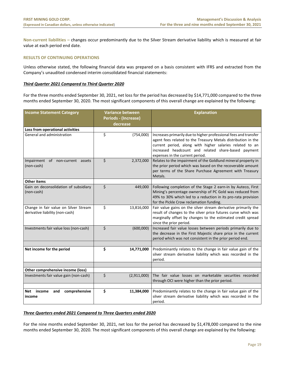**Non-current liabilities –** changes occur predominantly due to the Silver Stream derivative liability which is measured at fair value at each period end date.

# <span id="page-19-0"></span>**RESULTS OF CONTINUING OPERATIONS**

Unless otherwise stated, the following financial data was prepared on a basis consistent with IFRS and extracted from the Company's unaudited condensed interim consolidated financial statements:

# *Third Quarter 2021 Compared to Third Quarter 2020*

For the three months ended September 30, 2021, net loss for the period has decreased by \$14,771,000 compared to the three months ended September 30, 2020. The most significant components of this overall change are explained by the following:

| <b>Income Statement Category</b>                                         | Variance between            | <b>Explanation</b>                                                                                                                                                                                                                                                                      |  |  |  |  |  |  |
|--------------------------------------------------------------------------|-----------------------------|-----------------------------------------------------------------------------------------------------------------------------------------------------------------------------------------------------------------------------------------------------------------------------------------|--|--|--|--|--|--|
|                                                                          | <b>Periods - (Increase)</b> |                                                                                                                                                                                                                                                                                         |  |  |  |  |  |  |
|                                                                          | decrease                    |                                                                                                                                                                                                                                                                                         |  |  |  |  |  |  |
| Loss from operational activities                                         |                             |                                                                                                                                                                                                                                                                                         |  |  |  |  |  |  |
| General and administration                                               | \$<br>(754,000)             | Increases primarily due to higher professional fees and transfer<br>agent fees related to the Treasury Metals distribution in the<br>current period, along with higher salaries related to an<br>increased headcount and related share-based payment<br>expenses in the current period. |  |  |  |  |  |  |
| Impairment of non-current assets<br>(non-cash)                           | \$<br>2,372,000             | Relates to the impairment of the Goldlund mineral property in<br>the prior period which was based on the recoverable amount<br>per terms of the Share Purchase Agreement with Treasury<br>Metals.                                                                                       |  |  |  |  |  |  |
| <b>Other items</b>                                                       |                             |                                                                                                                                                                                                                                                                                         |  |  |  |  |  |  |
| Gain on deconsolidation of subsidiary<br>(non-cash)                      | \$<br>449,000               | Following completion of the Stage 2 earn-in by Auteco, First<br>Mining's percentage ownership of PC Gold was reduced from<br>49% to 30% which led to a reduction in its pro-rata provision<br>for the Pickle Crow reclamation funding.                                                  |  |  |  |  |  |  |
| Change in fair value on Silver Stream<br>derivative liability (non-cash) | \$<br>13,816,000            | Fair value gains on the silver stream derivative primarily the<br>result of changes to the silver price futures curve which was<br>marginally offset by changes to the estimated credit spread<br>since the prior period.                                                               |  |  |  |  |  |  |
| Investments fair value loss (non-cash)                                   | \$<br>(600,000)             | Increased fair value losses between periods primarily due to<br>the decrease in the First Majestic share price in the current<br>period which was not consistent in the prior period end.                                                                                               |  |  |  |  |  |  |
| Net income for the period                                                | \$<br>14,771,000            | Predominantly relates to the change in fair value gain of the<br>silver stream derivative liability which was recorded in the<br>period.                                                                                                                                                |  |  |  |  |  |  |
|                                                                          |                             |                                                                                                                                                                                                                                                                                         |  |  |  |  |  |  |
| Other comprehensive income (loss)                                        |                             | The fair value losses on marketable securities recorded                                                                                                                                                                                                                                 |  |  |  |  |  |  |
| Investments fair value gain (non-cash)                                   | \$<br>(2,911,000)           | through OCI were higher than the prior period.                                                                                                                                                                                                                                          |  |  |  |  |  |  |
| comprehensive<br>Net income<br>and<br>income                             | \$<br>11,384,000            | Predominantly relates to the change in fair value gain of the<br>silver stream derivative liability which was recorded in the<br>period.                                                                                                                                                |  |  |  |  |  |  |

# *Three Quarters ended 2021 Compared to Three Quarters ended 2020*

For the nine months ended September 30, 2021, net loss for the period has decreased by \$1,478,000 compared to the nine months ended September 30, 2020. The most significant components of this overall change are explained by the following: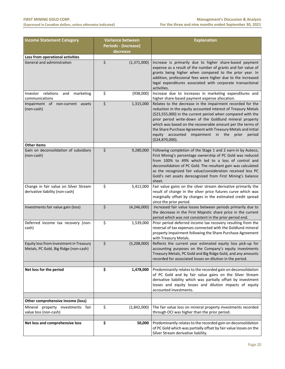<span id="page-20-0"></span>

| <b>Variance between</b><br><b>Income Statement Category</b>                      |                                  | <b>Explanation</b>                                                                                                                                                                                                                                                                                                                                                                                                                                                |  |  |  |
|----------------------------------------------------------------------------------|----------------------------------|-------------------------------------------------------------------------------------------------------------------------------------------------------------------------------------------------------------------------------------------------------------------------------------------------------------------------------------------------------------------------------------------------------------------------------------------------------------------|--|--|--|
|                                                                                  | Periods - (Increase)<br>decrease |                                                                                                                                                                                                                                                                                                                                                                                                                                                                   |  |  |  |
| Loss from operational activities                                                 |                                  |                                                                                                                                                                                                                                                                                                                                                                                                                                                                   |  |  |  |
| General and administration                                                       | \$<br>(1,371,000)                | Increase is primarily due to higher share-based payment<br>expense as a result of the number of grants and fair value of<br>grants being higher when compared to the prior year. In<br>addition, professional fees were higher due to the increased<br>legal expenditures associated with corporate transactional<br>activities.                                                                                                                                  |  |  |  |
| Investor relations<br>and<br>marketing<br>communications                         | \$<br>(938,000)                  | Increase due to increases in marketing expenditures and<br>higher share-based payment expense allocation.                                                                                                                                                                                                                                                                                                                                                         |  |  |  |
| Impairment of non-current assets<br>(non-cash)                                   | \$<br>1,315,000                  | Relates to the decrease in the impairment recorded for the<br>reduction in the equity accounted interest of Treasury Metals<br>(\$23,555,000) in the current period when compared with the<br>prior period write-down of the Goldlund mineral property<br>which was based on the recoverable amount per the terms of<br>the Share Purchase Agreement with Treasury Metals and initial<br>equity accounted impairment in the<br>prior<br>period<br>(\$24,870,000). |  |  |  |
| <b>Other items</b>                                                               |                                  |                                                                                                                                                                                                                                                                                                                                                                                                                                                                   |  |  |  |
| Gain on deconsolidation of subsidiary<br>(non-cash)                              | \$<br>9,280,000                  | Following completion of the Stage 1 and 2 earn-in by Auteco,<br>First Mining's percentage ownership of PC Gold was reduced<br>from 100% to 49% which led to a loss of control and<br>deconsolidation of PC Gold. The resultant gain was calculated<br>as the recognized fair value/consideration received less PC<br>Gold's net assets derecognized from First Mining's balance<br>sheet.                                                                         |  |  |  |
| Change in fair value on Silver Stream<br>derivative liability (non-cash)         | \$<br>5,412,000                  | Fair value gains on the silver stream derivative primarily the<br>result of change in the silver price futures curve which was<br>marginally offset by changes in the estimated credit spread<br>since the prior period.                                                                                                                                                                                                                                          |  |  |  |
| Investments fair value gain (loss)                                               | \$<br>(4, 246, 000)              | Increased fair value losses between periods primarily due to<br>the decrease in the First Majestic share price in the current<br>period which was not consistent in the prior period end.                                                                                                                                                                                                                                                                         |  |  |  |
| Deferred income tax recovery (non-<br>cash)                                      | \$<br>1,539,000                  | Prior period deferred income tax recovery resulting from the<br>reversal of tax expenses connected with the Goldlund mineral<br>property impairment following the Share Purchase Agreement<br>with Treasury Metals.                                                                                                                                                                                                                                               |  |  |  |
| Equity loss from investment in Treasury<br>Metals, PC Gold, Big Ridge (non-cash) | Ś.<br>(5,208,000)                | Reflects the current year estimated equity loss pick-up for<br>accounting purposes on the Company's equity investments<br>Treasury Metals, PC Gold and Big Ridge Gold, and any amounts<br>recorded for associated losses on dilution in the period.                                                                                                                                                                                                               |  |  |  |
| Net loss for the period                                                          | \$<br>1,478,000                  | Predominantly relates to the recorded gain on deconsolidation<br>of PC Gold and by fair value gains on the Silver Stream<br>derivative liability which was partially offset by investment<br>losses and equity losses and dilution impacts of equity<br>accounted investments.                                                                                                                                                                                    |  |  |  |
| Other comprehensive income (loss)                                                |                                  |                                                                                                                                                                                                                                                                                                                                                                                                                                                                   |  |  |  |
| Mineral property investments fair<br>value loss (non-cash)                       | \$<br>(1,842,000)                | The fair value loss on mineral property investments recorded<br>through OCI was higher than the prior period.                                                                                                                                                                                                                                                                                                                                                     |  |  |  |
| Net loss and comprehensive loss                                                  | \$<br>50,000                     | Predominantly relates to the recorded gain on deconsolidation<br>of PC Gold which was partially offset by fair value losses on the<br>Silver Stream derivative liability.                                                                                                                                                                                                                                                                                         |  |  |  |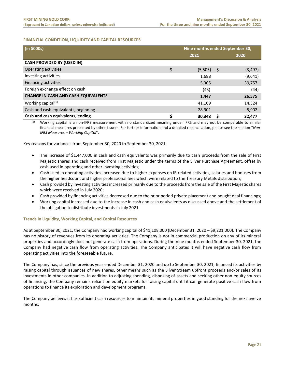# **FINANCIAL CONDITION, LIQUIDITY AND CAPITAL RESOURCES**

| (in \$000s)                                | Nine months ended September 30, |     |          |  |
|--------------------------------------------|---------------------------------|-----|----------|--|
|                                            | 2021                            |     | 2020     |  |
| <b>CASH PROVIDED BY (USED IN)</b>          |                                 |     |          |  |
| Operating activities                       | \$<br>(5,503)                   | - Ş | (3, 497) |  |
| Investing activities                       | 1,688                           |     | (9,641)  |  |
| Financing activities                       | 5,305                           |     | 39,757   |  |
| Foreign exchange effect on cash            | (43)                            |     | (44)     |  |
| <b>CHANGE IN CASH AND CASH EQUIVALENTS</b> | 1,447                           |     | 26,575   |  |
| Working capital $(1)$                      | 41,109                          |     | 14,324   |  |
| Cash and cash equivalents, beginning       | 28,901                          |     | 5,902    |  |
| Cash and cash equivalents, ending          | 30,348                          |     | 32,477   |  |

(1) Working capital is a non-IFRS measurement with no standardized meaning under IFRS and may not be comparable to similar financial measures presented by other issuers. For further information and a detailed reconciliation, please see the section "*Non-IFRS Measures – Working Capital*".

Key reasons for variances from September 30, 2020 to September 30, 2021:

- The increase of \$1,447,000 in cash and cash equivalents was primarily due to cash proceeds from the sale of First Majestic shares and cash received from First Majestic under the terms of the Silver Purchase Agreement, offset by cash used in operating and other investing activities;
- Cash used in operating activities increased due to higher expenses on IR related activities, salaries and bonuses from the higher headcount and higher professional fees which were related to the Treasury Metals distribution;
- Cash provided by investing activities increased primarily due to the proceeds from the sale of the First Majestic shares which were received in July 2020;
- Cash provided by financing activities decreased due to the prior period private placement and bought deal financings;
- Working capital increased due to the increase in cash and cash equivalents as discussed above and the settlement of the obligation to distribute investments in July 2021.

# **Trends in Liquidity, Working Capital, and Capital Resources**

As at September 30, 2021, the Company had working capital of \$41,108,000 (December 31, 2020 – \$9,201,000). The Company has no history of revenues from its operating activities. The Company is not in commercial production on any of its mineral properties and accordingly does not generate cash from operations. During the nine months ended September 30, 2021, the Company had negative cash flow from operating activities. The Company anticipates it will have negative cash flow from operating activities into the foreseeable future.

The Company has, since the previous year ended December 31, 2020 and up to September 30, 2021, financed its activities by raising capital through issuances of new shares, other means such as the Silver Stream upfront proceeds and/or sales of its investments in other companies. In addition to adjusting spending, disposing of assets and seeking other non-equity sources of financing, the Company remains reliant on equity markets for raising capital until it can generate positive cash flow from operations to finance its exploration and development programs.

The Company believes it has sufficient cash resources to maintain its mineral properties in good standing for the next twelve months.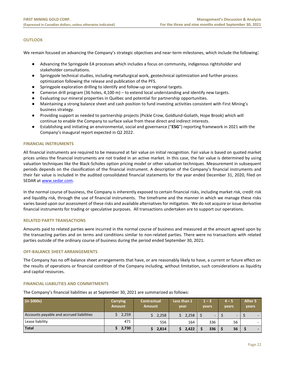# **OUTLOOK**

We remain focused on advancing the Company's strategic objectives and near-term milestones, which include the following:

- Advancing the Springpole EA processes which includes a focus on community, indigenous rightsholder and stakeholder consultations.
- Springpole technical studies, including metallurgical work, geotechnical optimization and further process optimization following the release and publication of the PFS.
- Springpole exploration drilling to identify and follow-up on regional targets.
- Cameron drill program (36 holes, 4,100 m) to extend local understanding and identify new targets.
- Evaluating our mineral properties in Québec and potential for partnership opportunities.
- Maintaining a strong balance sheet and cash position to fund investing activities consistent with First Mining's business strategy.
- Providing support as needed to partnership projects (Pickle Crow, Goldlund-Goliath, Hope Brook) which will continue to enable the Company to surface value from these direct and indirect interests.
- Establishing and initiating an environmental, social and governance ("**ESG**") reporting framework in 2021 with the Company's inaugural report expected in Q2 2022.

# <span id="page-22-0"></span>**FINANCIAL INSTRUMENTS**

All financial instruments are required to be measured at fair value on initial recognition. Fair value is based on quoted market prices unless the financial instruments are not traded in an active market. In this case, the fair value is determined by using valuation techniques like the Black-Scholes option pricing model or other valuation techniques. Measurement in subsequent periods depends on the classification of the financial instrument. A description of the Company's financial instruments and their fair value is included in the audited consolidated financial statements for the year ended December 31, 2020, filed on SEDAR at www.sedar.com.

In the normal course of business, the Company is inherently exposed to certain financial risks, including market risk, credit risk and liquidity risk, through the use of financial instruments. The timeframe and the manner in which we manage these risks varies based upon our assessment of these risks and available alternatives for mitigation. We do not acquire or issue derivative financial instruments for trading or speculative purposes. All transactions undertaken are to support our operations.

# <span id="page-22-1"></span>**RELATED PARTY TRANSACTIONS**

Amounts paid to related parties were incurred in the normal course of business and measured at the amount agreed upon by the transacting parties and on terms and conditions similar to non-related parties. There were no transactions with related parties outside of the ordinary course of business during the period ended September 30, 2021.

#### <span id="page-22-2"></span>**OFF-BALANCE SHEET ARRANGEMENTS**

The Company has no off-balance sheet arrangements that have, or are reasonably likely to have, a current or future effect on the results of operations or financial condition of the Company including, without limitation, such considerations as liquidity and capital resources.

#### **FINANCIAL LIABILITIES AND COMMITMENTS**

The Company's financial liabilities as at September 30, 2021 are summarized as follows:

<span id="page-22-3"></span>

| (in \$000s)                              | Carrying<br><b>Amount</b> | <b>Contractual</b><br><b>Amount</b> | Less than 1<br>year | $1 - 3$<br>vears | $4 - 5$<br>years | After 5<br>vears         |
|------------------------------------------|---------------------------|-------------------------------------|---------------------|------------------|------------------|--------------------------|
| Accounts payable and accrued liabilities | 2,259                     | 2,258                               | 2,258               | ۰.               | ۰.               | $\overline{\phantom{a}}$ |
| Lease liability                          | 471                       | 556                                 | 164                 | 336              | 56               |                          |
| Total                                    | 2,730                     | 2,814                               | 2,422               | 336              | 56               | $\overline{\phantom{0}}$ |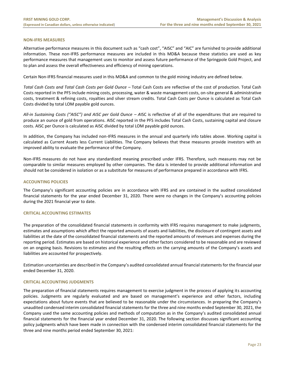#### **NON-IFRS MEASURES**

Alternative performance measures in this document such as "cash cost", "AISC" and "AIC" are furnished to provide additional information. These non-IFRS performance measures are included in this MD&A because these statistics are used as key performance measures that management uses to monitor and assess future performance of the Springpole Gold Project, and to plan and assess the overall effectiveness and efficiency of mining operations.

Certain Non-IFRS financial measures used in this MD&A and common to the gold mining industry are defined below.

*Total Cash Costs and Total Cash Costs per Gold Ounce –* Total Cash Costs are reflective of the cost of production. Total Cash Costs reported in the PFS include mining costs, processing, water & waste management costs, on-site general & administrative costs, treatment & refining costs, royalties and silver stream credits. Total Cash Costs per Ounce is calculated as Total Cash Costs divided by total LOM payable gold ounces.

*All-in Sustaining Costs ("AISC") and AISC per Gold Ounce – A*ISC is reflective of all of the expenditures that are required to produce an ounce of gold from operations. AISC reported in the PFS includes Total Cash Costs, sustaining capital and closure costs. AISC per Ounce is calculated as AISC divided by total LOM payable gold ounces.

In addition, the Company has included non-IFRS measures in the annual and quarterly info tables above. Working capital is calculated as Current Assets less Current Liabilities. The Company believes that these measures provide investors with an improved ability to evaluate the performance of the Company.

Non-IFRS measures do not have any standardized meaning prescribed under IFRS. Therefore, such measures may not be comparable to similar measures employed by other companies. The data is intended to provide additional information and should not be considered in isolation or as a substitute for measures of performance prepared in accordance with IFRS.

#### <span id="page-23-0"></span>**ACCOUNTING POLICIES**

The Company's significant accounting policies are in accordance with IFRS and are contained in the audited consolidated financial statements for the year ended December 31, 2020. There were no changes in the Company's accounting policies during the 2021 financial year to date.

# <span id="page-23-1"></span>**CRITICAL ACCOUNTING ESTIMATES**

The preparation of the consolidated financial statements in conformity with IFRS requires management to make judgments, estimates and assumptions which affect the reported amounts of assets and liabilities, the disclosure of contingent assets and liabilities at the date of the consolidated financial statements and the reported amounts of revenues and expenses during the reporting period. Estimates are based on historical experience and other factors considered to be reasonable and are reviewed on an ongoing basis. Revisions to estimates and the resulting effects on the carrying amounts of the Company's assets and liabilities are accounted for prospectively.

Estimation uncertainties are described in the Company's audited consolidated annual financial statements for the financial year ended December 31, 2020.

#### <span id="page-23-2"></span>**CRITICAL ACCOUNTING JUDGMENTS**

The preparation of financial statements requires management to exercise judgment in the process of applying its accounting policies. Judgments are regularly evaluated and are based on management's experience and other factors, including expectations about future events that are believed to be reasonable under the circumstances. In preparing the Company's unaudited condensed interim consolidated financial statements for the three and nine months ended September 30, 2021, the Company used the same accounting policies and methods of computation as in the Company's audited consolidated annual financial statements for the financial year ended December 31, 2020. The following section discusses significant accounting policy judgments which have been made in connection with the condensed interim consolidated financial statements for the three and nine months period ended September 30, 2021: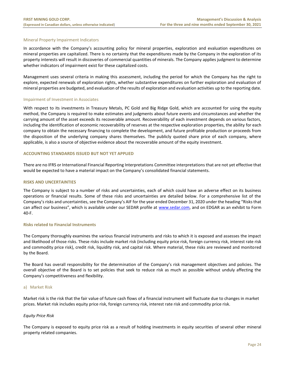# Mineral Property Impairment Indicators

In accordance with the Company's accounting policy for mineral properties, exploration and evaluation expenditures on mineral properties are capitalized. There is no certainty that the expenditures made by the Company in the exploration of its property interests will result in discoveries of commercial quantities of minerals. The Company applies judgment to determine whether indicators of impairment exist for these capitalized costs.

Management uses several criteria in making this assessment, including the period for which the Company has the right to explore, expected renewals of exploration rights, whether substantive expenditures on further exploration and evaluation of mineral properties are budgeted, and evaluation of the results of exploration and evaluation activities up to the reporting date.

#### Impairment of Investment in Associates

With respect to its investments in Treasury Metals, PC Gold and Big Ridge Gold, which are accounted for using the equity method, the Company is required to make estimates and judgments about future events and circumstances and whether the carrying amount of the asset exceeds its recoverable amount. Recoverability of each investment depends on various factors, including the identification of economic recoverability of reserves at the respective exploration properties, the ability for each company to obtain the necessary financing to complete the development, and future profitable production or proceeds from the disposition of the underlying company shares themselves. The publicly quoted share price of each company, where applicable, is also a source of objective evidence about the recoverable amount of the equity investment.

# <span id="page-24-0"></span>**ACCOUNTING STANDARDS ISSUED BUT NOT YET APPLIED**

There are no IFRS or International Financial Reporting Interpretations Committee interpretations that are not yet effective that would be expected to have a material impact on the Company's consolidated financial statements.

# <span id="page-24-1"></span>**RISKS AND UNCERTAINTIES**

The Company is subject to a number of risks and uncertainties, each of which could have an adverse effect on its business operations or financial results. Some of these risks and uncertainties are detailed below. For a comprehensive list of the Company's risks and uncertainties, see the Company's AIF for the year ended December 31, 2020 under the heading "Risks that can affect our business", which is available under our SEDAR profile at [www.sedar.com,](http://www.sedar.com/) and on EDGAR as an exhibit to Form 40-F.

# **Risks related to Financial Instruments**

The Company thoroughly examines the various financial instruments and risks to which it is exposed and assesses the impact and likelihood of those risks. These risks include market risk (including equity price risk, foreign currency risk, interest rate risk and commodity price risk), credit risk, liquidity risk, and capital risk. Where material, these risks are reviewed and monitored by the Board.

The Board has overall responsibility for the determination of the Company's risk management objectives and policies. The overall objective of the Board is to set policies that seek to reduce risk as much as possible without unduly affecting the Company's competitiveness and flexibility.

# a) Market Risk

Market risk is the risk that the fair value of future cash flows of a financial instrument will fluctuate due to changes in market prices. Market risk includes equity price risk, foreign currency risk, interest rate risk and commodity price risk.

# *Equity Price Risk*

The Company is exposed to equity price risk as a result of holding investments in equity securities of several other mineral property related companies.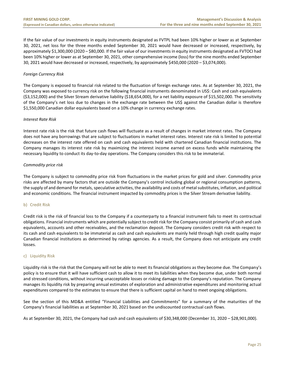If the fair value of our investments in equity instruments designated as FVTPL had been 10% higher or lower as at September 30, 2021, net loss for the three months ended September 30, 2021 would have decreased or increased, respectively, by approximately \$1,300,000 (2020 – \$80,000. If the fair value of our investments in equity instruments designated as FVTOCI had been 10% higher or lower as at September 30, 2021, other comprehensive income (loss) for the nine months ended September 30, 2021 would have decreased or increased, respectively, by approximately \$450,000 (2020 – \$3,074,000).

# *Foreign Currency Risk*

The Company is exposed to financial risk related to the fluctuation of foreign exchange rates. As at September 30, 2021, the Company was exposed to currency risk on the following financial instruments denominated in US\$: Cash and cash equivalents (\$3,152,000) and the Silver Stream derivative liability (\$18,654,000), for a net liability exposure of \$15,502,000. The sensitivity of the Company's net loss due to changes in the exchange rate between the US\$ against the Canadian dollar is therefore \$1,550,000 Canadian dollar equivalents based on a 10% change in currency exchange rates.

# *Interest Rate Risk*

Interest rate risk is the risk that future cash flows will fluctuate as a result of changes in market interest rates. The Company does not have any borrowings that are subject to fluctuations in market interest rates. Interest rate risk is limited to potential decreases on the interest rate offered on cash and cash equivalents held with chartered Canadian financial institutions. The Company manages its interest rate risk by maximizing the interest income earned on excess funds while maintaining the necessary liquidity to conduct its day-to-day operations. The Company considers this risk to be immaterial.

# *Commodity price risk*

The Company is subject to commodity price risk from fluctuations in the market prices for gold and silver. Commodity price risks are affected by many factors that are outside the Company's control including global or regional consumption patterns, the supply of and demand for metals, speculative activities, the availability and costs of metal substitutes, inflation, and political and economic conditions. The financial instrument impacted by commodity prices is the Silver Stream derivative liability.

# b) Credit Risk

Credit risk is the risk of financial loss to the Company if a counterparty to a financial instrument fails to meet its contractual obligations. Financial instruments which are potentially subject to credit risk for the Company consist primarily of cash and cash equivalents, accounts and other receivables, and the reclamation deposit. The Company considers credit risk with respect to its cash and cash equivalents to be immaterial as cash and cash equivalents are mainly held through high credit quality major Canadian financial institutions as determined by ratings agencies. As a result, the Company does not anticipate any credit losses.

# c) Liquidity Risk

Liquidity risk is the risk that the Company will not be able to meet its financial obligations as they become due. The Company's policy is to ensure that it will have sufficient cash to allow it to meet its liabilities when they become due, under both normal and stressed conditions, without incurring unacceptable losses or risking damage to the Company's reputation. The Company manages its liquidity risk by preparing annual estimates of exploration and administrative expenditures and monitoring actual expenditures compared to the estimates to ensure that there is sufficient capital on hand to meet ongoing obligations.

See the section of this MD&A entitled "Financial Liabilities and Commitments" for a summary of the maturities of the Company's financial liabilities as at September 30, 2021 based on the undiscounted contractual cash flows.

As at September 30, 2021, the Company had cash and cash equivalents of \$30,348,000 (December 31, 2020 – \$28,901,000).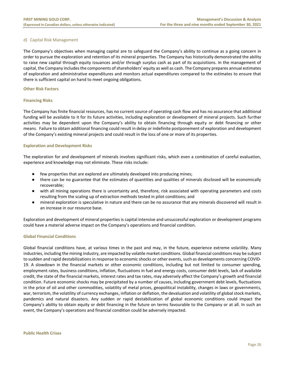# d) Capital Risk Management

The Company's objectives when managing capital are to safeguard the Company's ability to continue as a going concern in order to pursue the exploration and retention of its mineral properties. The Company has historically demonstrated the ability to raise new capital through equity issuances and/or through surplus cash as part of its acquisitions. In the management of capital, the Company includes the components of shareholders' equity as well as cash. The Company prepares annual estimates of exploration and administrative expenditures and monitors actual expenditures compared to the estimates to ensure that there is sufficient capital on hand to meet ongoing obligations.

# **Other Risk Factors**

# **Financing Risks**

The Company has finite financial resources, has no current source of operating cash flow and has no assurance that additional funding will be available to it for its future activities, including exploration or development of mineral projects. Such further activities may be dependent upon the Company's ability to obtain financing through equity or debt financing or other means. Failure to obtain additional financing could result in delay or indefinite postponement of exploration and development of the Company's existing mineral projects and could result in the loss of one or more of its properties.

# **Exploration and Development Risks**

The exploration for and development of minerals involves significant risks, which even a combination of careful evaluation, experience and knowledge may not eliminate. These risks include:

- few properties that are explored are ultimately developed into producing mines;
- there can be no guarantee that the estimates of quantities and qualities of minerals disclosed will be economically recoverable;
- with all mining operations there is uncertainty and, therefore, risk associated with operating parameters and costs resulting from the scaling up of extraction methods tested in pilot conditions; and
- mineral exploration is speculative in nature and there can be no assurance that any minerals discovered will result in an increase in our resource base.

Exploration and development of mineral properties is capital intensive and unsuccessful exploration or development programs could have a material adverse impact on the Company's operations and financial condition.

# **Global Financial Conditions**

Global financial conditions have, at various times in the past and may, in the future, experience extreme volatility. Many industries, including the mining industry, are impacted by volatile market conditions. Global financial conditions may be subject to sudden and rapid destabilizations in response to economic shocks or other events, such as developments concerning COVID-19. A slowdown in the financial markets or other economic conditions, including but not limited to consumer spending, employment rates, business conditions, inflation, fluctuations in fuel and energy costs, consumer debt levels, lack of available credit, the state of the financial markets, interest rates and tax rates, may adversely affect the Company's growth and financial condition. Future economic shocks may be precipitated by a number of causes, including government debt levels, fluctuations in the price of oil and other commodities, volatility of metal prices, geopolitical instability, changes in laws or governments, war, terrorism, the volatility of currency exchanges, inflation or deflation, the devaluation and volatility of global stock markets, pandemics and natural disasters. Any sudden or rapid destabilization of global economic conditions could impact the Company's ability to obtain equity or debt financing in the future on terms favourable to the Company or at all. In such an event, the Company's operations and financial condition could be adversely impacted.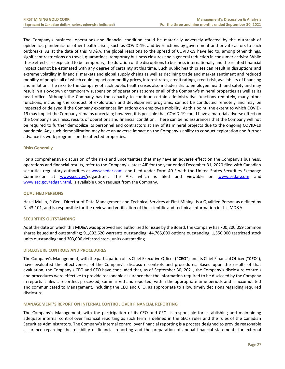The Company's business, operations and financial condition could be materially adversely affected by the outbreak of epidemics, pandemics or other health crises, such as COVID-19, and by reactions by government and private actors to such outbreaks. As at the date of this MD&A, the global reactions to the spread of COVID-19 have led to, among other things, significant restrictions on travel, quarantines, temporary business closures and a general reduction in consumer activity. While these effects are expected to be temporary, the duration of the disruptions to business internationally and the related financial impact cannot be estimated with any degree of certainty at this time. Such public health crises can result in disruptions and extreme volatility in financial markets and global supply chains as well as declining trade and market sentiment and reduced mobility of people, all of which could impact commodity prices, interest rates, credit ratings, credit risk, availability of financing and inflation. The risks to the Company of such public health crises also include risks to employee health and safety and may result in a slowdown or temporary suspension of operations at some or all of the Company's mineral properties as well as its head office. Although the Company has the capacity to continue certain administrative functions remotely, many other functions, including the conduct of exploration and development programs, cannot be conducted remotely and may be impacted or delayed if the Company experiences limitations on employee mobility. At this point, the extent to which COVID-19 may impact the Company remains uncertain; however, it is possible that COVID-19 could have a material adverse effect on the Company's business, results of operations and financial condition. There can be no assurances that the Company will not be required to further demobilize its personnel and contractors at any of its mineral projects due to the ongoing COVID-19 pandemic. Any such demobilization may have an adverse impact on the Company's ability to conduct exploration and further advance its work programs on the affected properties.

# **Risks Generally**

For a comprehensive discussion of the risks and uncertainties that may have an adverse effect on the Company's business, operations and financial results, refer to the Company's latest AIF for the year ended December 31, 2020 filed with Canadian securities regulatory authorities at [www.sedar.com,](http://www.sedar.com/) and filed under Form 40-F with the United States Securities Exchange Commission at [www.sec.gov/e](http://www.sec.gov/)dgar.html. The AIF, which is filed and viewable on [www.sedar.com](http://www.sedar.com/) and [www.sec.gov/edgar.html,](http://www.sec.gov/edgar.html) is available upon request from the Company.

# <span id="page-27-0"></span>**QUALIFIED PERSONS**

Hazel Mullin, P.Geo., Director of Data Management and Technical Services at First Mining, is a Qualified Person as defined by NI 43-101, and is responsible for the review and verification of the scientific and technical information in this MD&A.

# <span id="page-27-1"></span>**SECURITIES OUTSTANDING**

As at the date on which this MD&A was approved and authorized for issue by the Board, the Company has 700,200,059 common shares issued and outstanding; 91,892,620 warrants outstanding; 44,765,000 options outstanding; 1,550,000 restricted stock units outstanding; and 303,000 deferred stock units outstanding.

# **DISCLOSURE CONTROLS AND PROCEDURES**

The Company's Management, with the participation of its Chief Executive Officer ("**CEO**") and its Chief Financial Officer ("**CFO**"), have evaluated the effectiveness of the Company's disclosure controls and procedures. Based upon the results of that evaluation, the Company's CEO and CFO have concluded that, as of September 30, 2021, the Company's disclosure controls and procedures were effective to provide reasonable assurance that the information required to be disclosed by the Company in reports it files is recorded, processed, summarized and reported, within the appropriate time periods and is accumulated and communicated to Management, including the CEO and CFO, as appropriate to allow timely decisions regarding required disclosure.

# <span id="page-27-2"></span>**MANAGEMENT'S REPORT ON INTERNAL CONTROL OVER FINANCIAL REPORTING**

The Company's Management, with the participation of its CEO and CFO, is responsible for establishing and maintaining adequate internal control over financial reporting as such term is defined in the SEC's rules and the rules of the Canadian Securities Administrators. The Company's internal control over financial reporting is a process designed to provide reasonable assurance regarding the reliability of financial reporting and the preparation of annual financial statements for external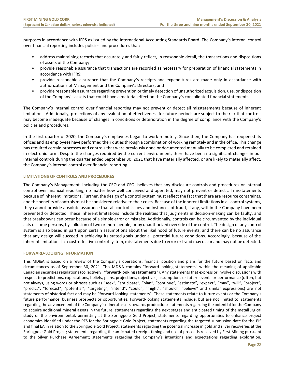purposes in accordance with IFRS as issued by the International Accounting Standards Board. The Company's internal control over financial reporting includes policies and procedures that:

- address maintaining records that accurately and fairly reflect, in reasonable detail, the transactions and dispositions of assets of the Company;
- provide reasonable assurance that transactions are recorded as necessary for preparation of financial statements in accordance with IFRS;
- provide reasonable assurance that the Company's receipts and expenditures are made only in accordance with authorizations of Management and the Company's Directors; and
- provide reasonable assurance regarding prevention or timely detection of unauthorized acquisition, use, or disposition of the Company's assets that could have a material effect on the Company's consolidated financial statements.

The Company's internal control over financial reporting may not prevent or detect all misstatements because of inherent limitations. Additionally, projections of any evaluation of effectiveness for future periods are subject to the risk that controls may become inadequate because of changes in conditions or deterioration in the degree of compliance with the Company's policies and procedures.

In the first quarter of 2020, the Company's employees began to work remotely. Since then, the Company has reopened its offices and its employees have performed their duties through a combination of working remotely and in the office. This change has required certain processes and controls that were previously done or documented manually to be completed and retained in electronic form. Despite the changes required by the current environment, there have been no significant changes in our internal controls during the quarter ended September 30, 2021 that have materially affected, or are likely to materially affect, the Company's internal control over financial reporting.

# **LIMITATIONS OF CONTROLS AND PROCEDURES**

The Company's Management, including the CEO and CFO, believes that any disclosure controls and procedures or internal control over financial reporting, no matter how well conceived and operated, may not prevent or detect all misstatements because of inherent limitations. Further, the design of a control system must reflect the fact that there are resource constraints, and the benefits of controls must be considered relative to their costs. Because of the inherent limitations in all control systems, they cannot provide absolute assurance that all control issues and instances of fraud, if any, within the Company have been prevented or detected. These inherent limitations include the realities that judgments in decision-making can be faulty, and that breakdowns can occur because of a simple error or mistake. Additionally, controls can be circumvented by the individual acts of some persons, by collusion of two or more people, or by unauthorized override of the control. The design of any control system is also based in part upon certain assumptions about the likelihood of future events, and there can be no assurance that any design will succeed in achieving its stated goals under all potential future conditions. Accordingly, because of the inherent limitations in a cost-effective control system, misstatements due to error or fraud may occur and may not be detected.

# <span id="page-28-0"></span>**FORWARD-LOOKING INFORMATION**

This MD&A is based on a review of the Company's operations, financial position and plans for the future based on facts and circumstances as of September 30, 2021. This MD&A contains "forward-looking statements" within the meaning of applicable Canadian securities regulations (collectively, "**forward-looking statements**"). Any statements that express or involve discussions with respect to predictions, expectations, beliefs, plans, projections, objectives, assumptions or future events or performance (often, but not always, using words or phrases such as "seek", "anticipate", "plan", "continue", "estimate", "expect", "may", "will", "project", "predict", "forecast", "potential", "targeting", "intend", "could", "might", "should", "believe" and similar expressions) are not statements of historical fact and may be "forward-looking statements". These statements relate to future events or the Company's future performance, business prospects or opportunities. Forward-looking statements include, but are not limited to: statements regarding the advancement of the Company's mineral assets towards production; statements regarding the potential for the Company to acquire additional mineral assets in the future; statements regarding the next stages and anticipated timing of the metallurgical study or the environmental, permitting at the Springpole Gold Project; statements regarding opportunities to enhance project economics identified under the PFS for the Springpole Gold Project; statements regarding the targeted submission date for the EIS and final EA in relation to the Springpole Gold Project; statements regarding the potential increase in gold and silver recoveries at the Springpole Gold Project; statements regarding the anticipated receipt, timing and use of proceeds received by First Mining pursuant to the Silver Purchase Agreement; statements regarding the Company's intentions and expectations regarding exploration,